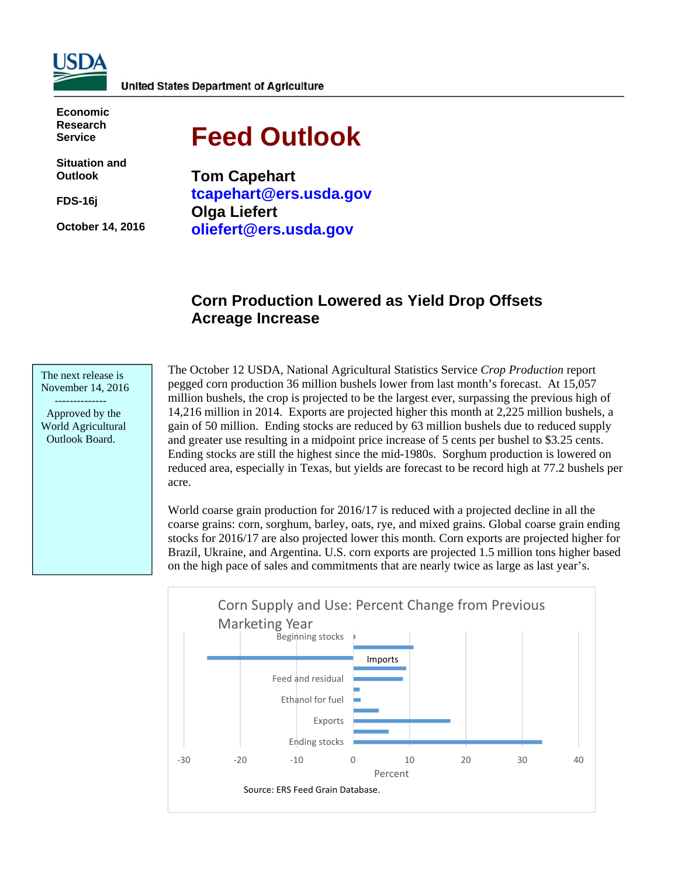

**Economic Research Service** 

**Situation and Outlook** 

**FDS-16j** 

**October 14, 2016** 

# **Feed Outlook**

**Tom Capehart tcapehart@ers.usda.gov Olga Liefert oliefert@ers.usda.gov** 

# **Corn Production Lowered as Yield Drop Offsets Acreage Increase**

The next release is November 14, 2016

 -------------- Approved by the World Agricultural Outlook Board.

The October 12 USDA, National Agricultural Statistics Service *Crop Production* report pegged corn production 36 million bushels lower from last month's forecast. At 15,057 million bushels, the crop is projected to be the largest ever, surpassing the previous high of 14,216 million in 2014. Exports are projected higher this month at 2,225 million bushels, a gain of 50 million. Ending stocks are reduced by 63 million bushels due to reduced supply and greater use resulting in a midpoint price increase of 5 cents per bushel to \$3.25 cents. Ending stocks are still the highest since the mid-1980s. Sorghum production is lowered on reduced area, especially in Texas, but yields are forecast to be record high at 77.2 bushels per acre.

World coarse grain production for 2016/17 is reduced with a projected decline in all the coarse grains: corn, sorghum, barley, oats, rye, and mixed grains. Global coarse grain ending stocks for 2016/17 are also projected lower this month. Corn exports are projected higher for Brazil, Ukraine, and Argentina. U.S. corn exports are projected 1.5 million tons higher based on the high pace of sales and commitments that are nearly twice as large as last year's.

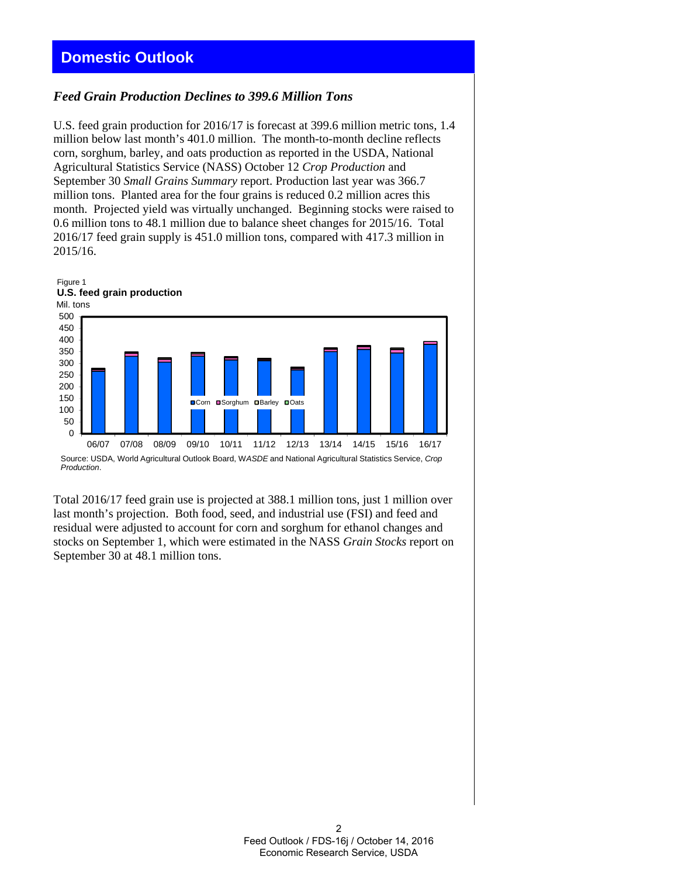# **Domestic Outlook**

### *Feed Grain Production Declines to 399.6 Million Tons*

U.S. feed grain production for 2016/17 is forecast at 399.6 million metric tons, 1.4 million below last month's 401.0 million. The month-to-month decline reflects corn, sorghum, barley, and oats production as reported in the USDA, National Agricultural Statistics Service (NASS) October 12 *Crop Production* and September 30 *Small Grains Summary* report. Production last year was 366.7 million tons. Planted area for the four grains is reduced 0.2 million acres this month. Projected yield was virtually unchanged. Beginning stocks were raised to 0.6 million tons to 48.1 million due to balance sheet changes for 2015/16. Total 2016/17 feed grain supply is 451.0 million tons, compared with 417.3 million in 2015/16.



Source: USDA, World Agricultural Outlook Board, W*ASDE* and National Agricultural Statistics Service, *Crop Production*.

Total 2016/17 feed grain use is projected at 388.1 million tons, just 1 million over last month's projection. Both food, seed, and industrial use (FSI) and feed and residual were adjusted to account for corn and sorghum for ethanol changes and stocks on September 1, which were estimated in the NASS *Grain Stocks* report on September 30 at 48.1 million tons.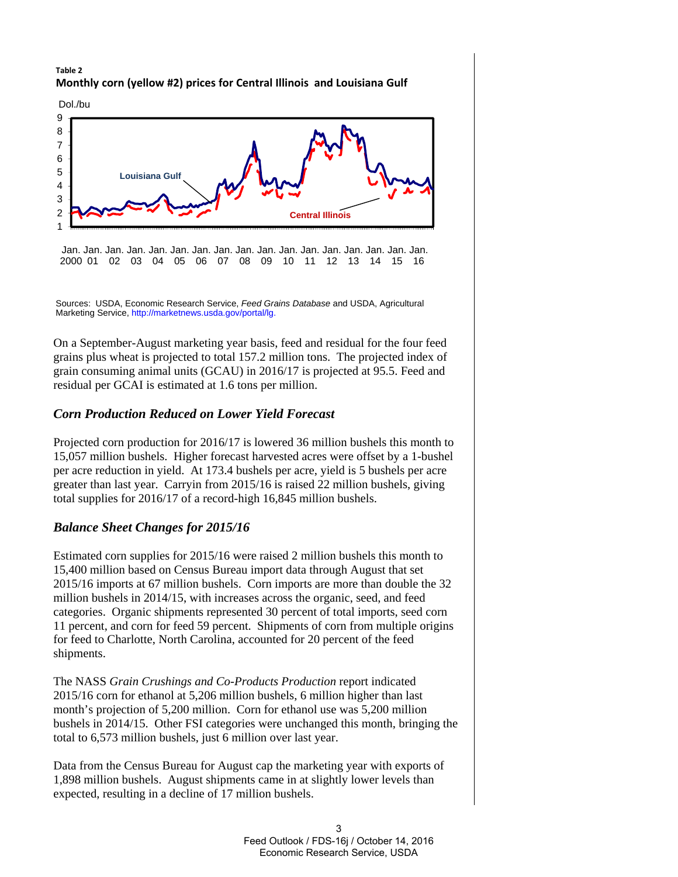### **Table 2 Monthly corn (yellow #2) prices for Central Illinois and Louisiana Gulf**



Jan. Jan. Jan. Jan. Jan. Jan. Jan. Jan. Jan. Jan. Jan. Jan. Jan. Jan. Jan. Jan. Jan. 2000 01 02 03 04 05 06 07 08 09 10 11 12 13 14 15 16

Sources: USDA, Economic Research Service, *Feed Grains Database* and USDA, Agricultural Marketing Service, http://marketnews.usda.gov/portal/lg.

On a September-August marketing year basis, feed and residual for the four feed grains plus wheat is projected to total 157.2 million tons. The projected index of grain consuming animal units (GCAU) in 2016/17 is projected at 95.5. Feed and residual per GCAI is estimated at 1.6 tons per million.

# *Corn Production Reduced on Lower Yield Forecast*

Projected corn production for 2016/17 is lowered 36 million bushels this month to 15,057 million bushels. Higher forecast harvested acres were offset by a 1-bushel per acre reduction in yield. At 173.4 bushels per acre, yield is 5 bushels per acre greater than last year. Carryin from 2015/16 is raised 22 million bushels, giving total supplies for 2016/17 of a record-high 16,845 million bushels.

# *Balance Sheet Changes for 2015/16*

Estimated corn supplies for 2015/16 were raised 2 million bushels this month to 15,400 million based on Census Bureau import data through August that set 2015/16 imports at 67 million bushels. Corn imports are more than double the 32 million bushels in 2014/15, with increases across the organic, seed, and feed categories. Organic shipments represented 30 percent of total imports, seed corn 11 percent, and corn for feed 59 percent. Shipments of corn from multiple origins for feed to Charlotte, North Carolina, accounted for 20 percent of the feed shipments.

The NASS *Grain Crushings and Co-Products Production* report indicated 2015/16 corn for ethanol at 5,206 million bushels, 6 million higher than last month's projection of 5,200 million. Corn for ethanol use was 5,200 million bushels in 2014/15. Other FSI categories were unchanged this month, bringing the total to 6,573 million bushels, just 6 million over last year.

Data from the Census Bureau for August cap the marketing year with exports of 1,898 million bushels. August shipments came in at slightly lower levels than expected, resulting in a decline of 17 million bushels.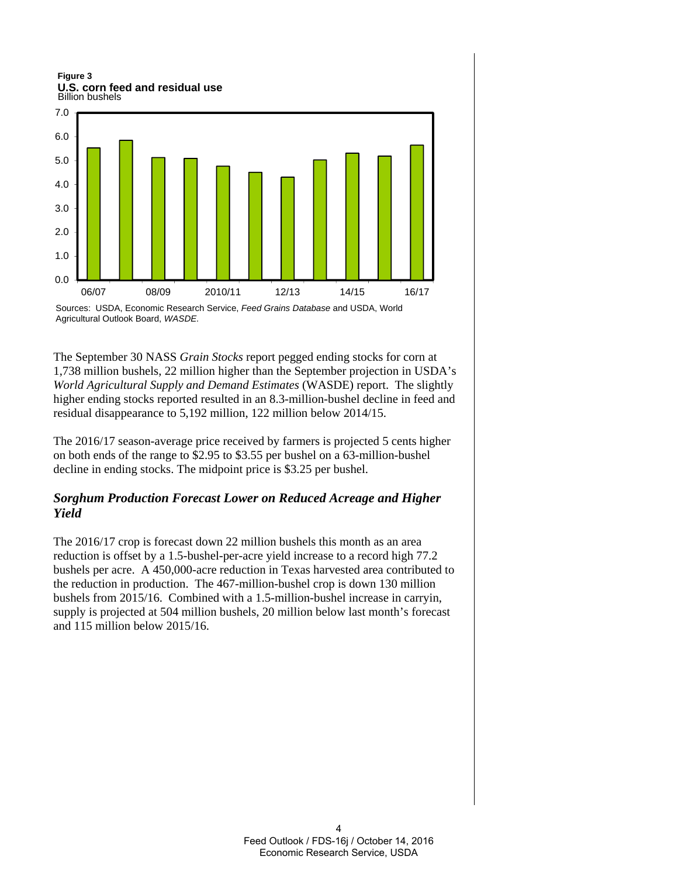Billion bushels **Figure 3 U.S. corn feed and residual use**



Sources: USDA, Economic Research Service, *Feed Grains Database* and USDA, World Agricultural Outlook Board, *WASDE.*

The September 30 NASS *Grain Stocks* report pegged ending stocks for corn at 1,738 million bushels, 22 million higher than the September projection in USDA's *World Agricultural Supply and Demand Estimates* (WASDE) report. The slightly higher ending stocks reported resulted in an 8.3-million-bushel decline in feed and residual disappearance to 5,192 million, 122 million below 2014/15.

The 2016/17 season-average price received by farmers is projected 5 cents higher on both ends of the range to \$2.95 to \$3.55 per bushel on a 63-million-bushel decline in ending stocks. The midpoint price is \$3.25 per bushel.

# *Sorghum Production Forecast Lower on Reduced Acreage and Higher Yield*

The 2016/17 crop is forecast down 22 million bushels this month as an area reduction is offset by a 1.5-bushel-per-acre yield increase to a record high 77.2 bushels per acre. A 450,000-acre reduction in Texas harvested area contributed to the reduction in production. The 467-million-bushel crop is down 130 million bushels from 2015/16. Combined with a 1.5-million-bushel increase in carryin, supply is projected at 504 million bushels, 20 million below last month's forecast and 115 million below 2015/16.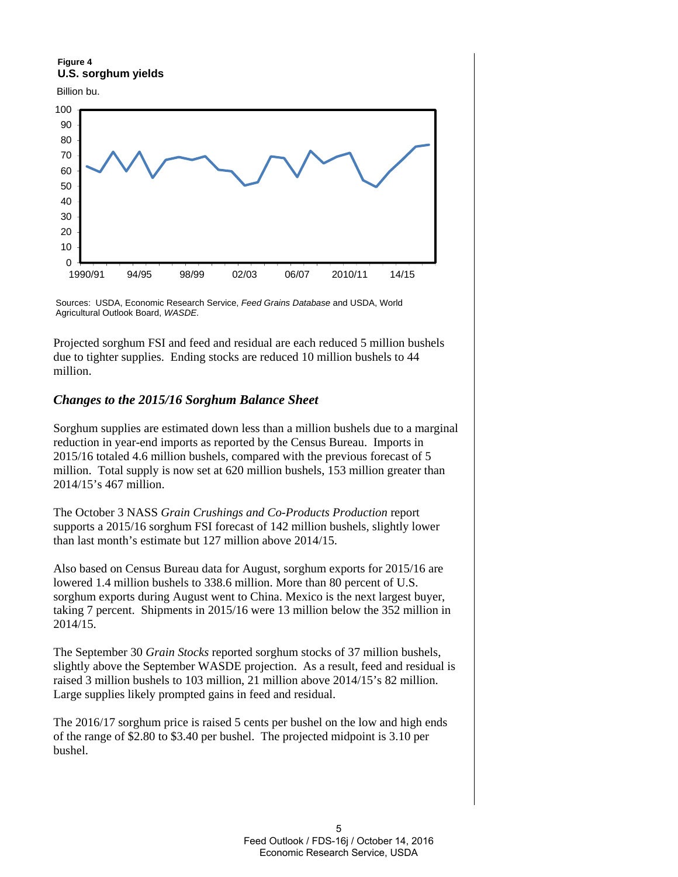**Figure 4 U.S. sorghum yields**







Projected sorghum FSI and feed and residual are each reduced 5 million bushels due to tighter supplies. Ending stocks are reduced 10 million bushels to 44 million.

### *Changes to the 2015/16 Sorghum Balance Sheet*

Sorghum supplies are estimated down less than a million bushels due to a marginal reduction in year-end imports as reported by the Census Bureau. Imports in 2015/16 totaled 4.6 million bushels, compared with the previous forecast of 5 million. Total supply is now set at 620 million bushels, 153 million greater than 2014/15's 467 million.

The October 3 NASS *Grain Crushings and Co-Products Production* report supports a 2015/16 sorghum FSI forecast of 142 million bushels, slightly lower than last month's estimate but 127 million above 2014/15.

Also based on Census Bureau data for August, sorghum exports for 2015/16 are lowered 1.4 million bushels to 338.6 million. More than 80 percent of U.S. sorghum exports during August went to China. Mexico is the next largest buyer, taking 7 percent. Shipments in 2015/16 were 13 million below the 352 million in 2014/15.

The September 30 *Grain Stocks* reported sorghum stocks of 37 million bushels, slightly above the September WASDE projection. As a result, feed and residual is raised 3 million bushels to 103 million, 21 million above 2014/15's 82 million. Large supplies likely prompted gains in feed and residual.

The 2016/17 sorghum price is raised 5 cents per bushel on the low and high ends of the range of \$2.80 to \$3.40 per bushel. The projected midpoint is 3.10 per bushel.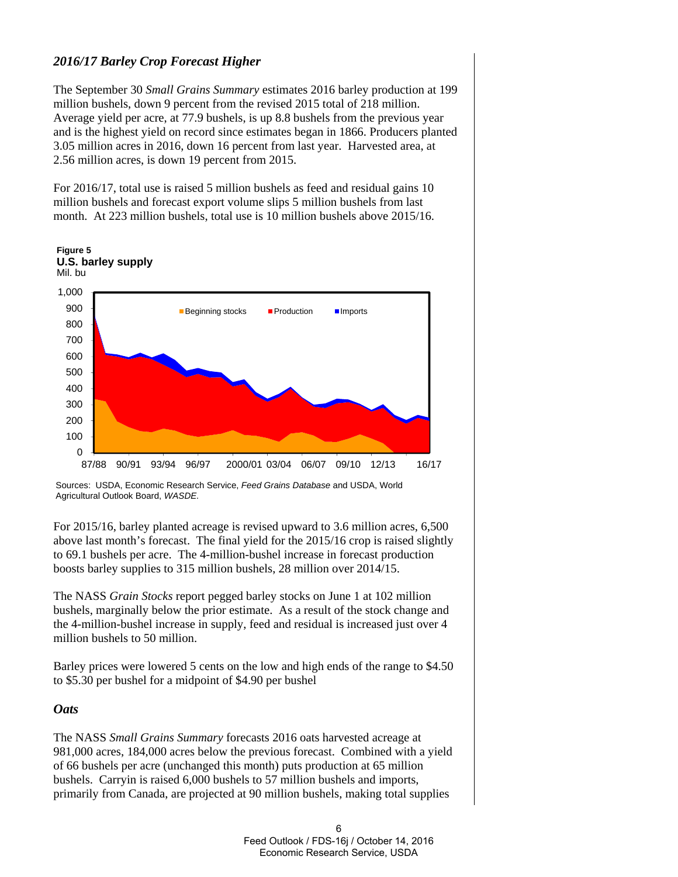# *2016/17 Barley Crop Forecast Higher*

The September 30 *Small Grains Summary* estimates 2016 barley production at 199 million bushels, down 9 percent from the revised 2015 total of 218 million. Average yield per acre, at 77.9 bushels, is up 8.8 bushels from the previous year and is the highest yield on record since estimates began in 1866. Producers planted 3.05 million acres in 2016, down 16 percent from last year. Harvested area, at 2.56 million acres, is down 19 percent from 2015.

For 2016/17, total use is raised 5 million bushels as feed and residual gains 10 million bushels and forecast export volume slips 5 million bushels from last month. At 223 million bushels, total use is 10 million bushels above 2015/16.



Sources: USDA, Economic Research Service, *Feed Grains Database* and USDA, World Agricultural Outlook Board, *WASDE.*

For 2015/16, barley planted acreage is revised upward to 3.6 million acres, 6,500 above last month's forecast. The final yield for the 2015/16 crop is raised slightly to 69.1 bushels per acre. The 4-million-bushel increase in forecast production boosts barley supplies to 315 million bushels, 28 million over 2014/15.

The NASS *Grain Stocks* report pegged barley stocks on June 1 at 102 million bushels, marginally below the prior estimate. As a result of the stock change and the 4-million-bushel increase in supply, feed and residual is increased just over 4 million bushels to 50 million.

Barley prices were lowered 5 cents on the low and high ends of the range to \$4.50 to \$5.30 per bushel for a midpoint of \$4.90 per bushel

### *Oats*

The NASS *Small Grains Summary* forecasts 2016 oats harvested acreage at 981,000 acres, 184,000 acres below the previous forecast. Combined with a yield of 66 bushels per acre (unchanged this month) puts production at 65 million bushels. Carryin is raised 6,000 bushels to 57 million bushels and imports, primarily from Canada, are projected at 90 million bushels, making total supplies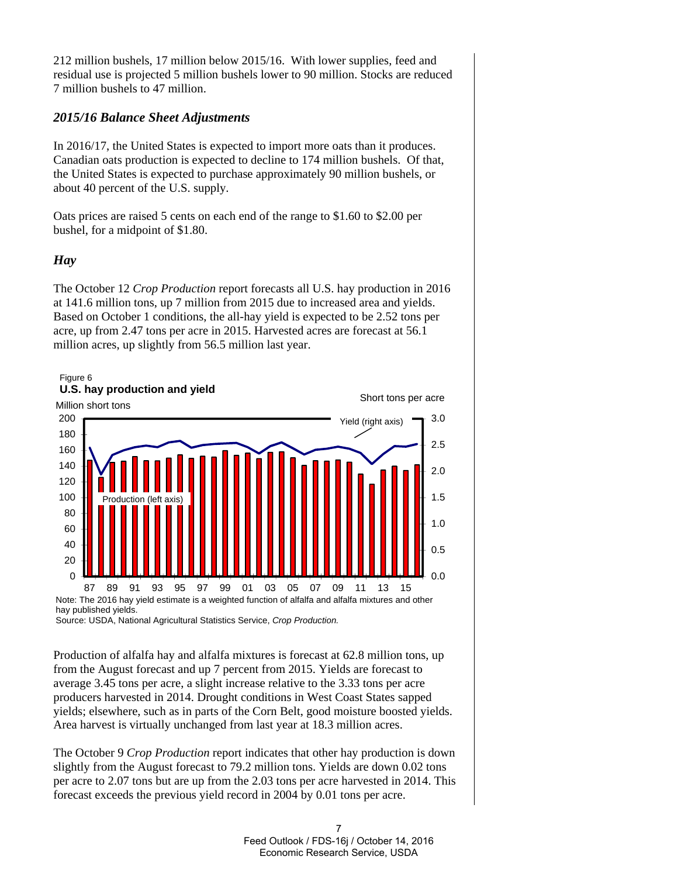212 million bushels, 17 million below 2015/16. With lower supplies, feed and residual use is projected 5 million bushels lower to 90 million. Stocks are reduced 7 million bushels to 47 million.

# *2015/16 Balance Sheet Adjustments*

In 2016/17, the United States is expected to import more oats than it produces. Canadian oats production is expected to decline to 174 million bushels. Of that, the United States is expected to purchase approximately 90 million bushels, or about 40 percent of the U.S. supply.

Oats prices are raised 5 cents on each end of the range to \$1.60 to \$2.00 per bushel, for a midpoint of \$1.80.

# *Hay*

The October 12 *Crop Production* report forecasts all U.S. hay production in 2016 at 141.6 million tons, up 7 million from 2015 due to increased area and yields. Based on October 1 conditions, the all-hay yield is expected to be 2.52 tons per acre, up from 2.47 tons per acre in 2015. Harvested acres are forecast at 56.1 million acres, up slightly from 56.5 million last year.



Source: USDA, National Agricultural Statistics Service, *Crop Production.* 

Production of alfalfa hay and alfalfa mixtures is forecast at 62.8 million tons, up from the August forecast and up 7 percent from 2015. Yields are forecast to average 3.45 tons per acre, a slight increase relative to the 3.33 tons per acre producers harvested in 2014. Drought conditions in West Coast States sapped yields; elsewhere, such as in parts of the Corn Belt, good moisture boosted yields. Area harvest is virtually unchanged from last year at 18.3 million acres.

The October 9 *Crop Production* report indicates that other hay production is down slightly from the August forecast to 79.2 million tons. Yields are down 0.02 tons per acre to 2.07 tons but are up from the 2.03 tons per acre harvested in 2014. This forecast exceeds the previous yield record in 2004 by 0.01 tons per acre.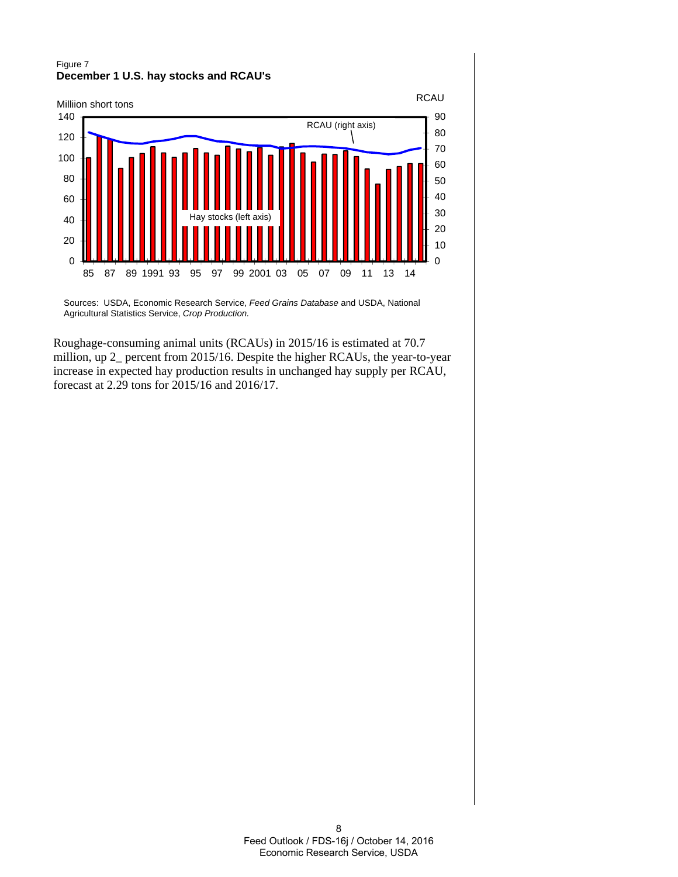### Figure 7 **December 1 U.S. hay stocks and RCAU's**



Sources: USDA, Economic Research Service, *Feed Grains Database* and USDA, National Agricultural Statistics Service, *Crop Production.*

Roughage-consuming animal units (RCAUs) in 2015/16 is estimated at 70.7 million, up 2\_ percent from 2015/16. Despite the higher RCAUs, the year-to-year increase in expected hay production results in unchanged hay supply per RCAU, forecast at 2.29 tons for 2015/16 and 2016/17.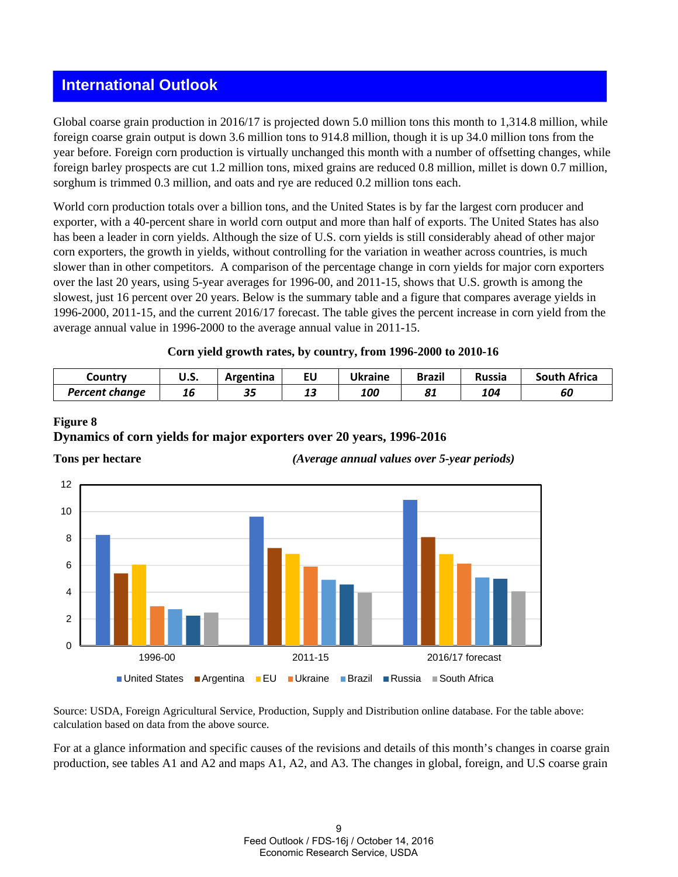# **International Outlook**

Global coarse grain production in 2016/17 is projected down 5.0 million tons this month to 1,314.8 million, while foreign coarse grain output is down 3.6 million tons to 914.8 million, though it is up 34.0 million tons from the year before. Foreign corn production is virtually unchanged this month with a number of offsetting changes, while foreign barley prospects are cut 1.2 million tons, mixed grains are reduced 0.8 million, millet is down 0.7 million, sorghum is trimmed 0.3 million, and oats and rye are reduced 0.2 million tons each.

World corn production totals over a billion tons, and the United States is by far the largest corn producer and exporter, with a 40-percent share in world corn output and more than half of exports. The United States has also has been a leader in corn yields. Although the size of U.S. corn yields is still considerably ahead of other major corn exporters, the growth in yields, without controlling for the variation in weather across countries, is much slower than in other competitors. A comparison of the percentage change in corn yields for major corn exporters over the last 20 years, using 5-year averages for 1996-00, and 2011-15, shows that U.S. growth is among the slowest, just 16 percent over 20 years. Below is the summary table and a figure that compares average yields in 1996-2000, 2011-15, and the current 2016/17 forecast. The table gives the percent increase in corn yield from the average annual value in 1996-2000 to the average annual value in 2011-15.

### **Corn yield growth rates, by country, from 1996-2000 to 2010-16**

| Country        | u.s. | Argentina | EU | Ukraine | Brazil             | <b>Russia</b> | <b>South Africa</b> |
|----------------|------|-----------|----|---------|--------------------|---------------|---------------------|
| Percent change | 16   | 35        | 13 | 100     | $\mathbf{C}$<br>o. | 104           | υı                  |

### **Figure 8**

### **Dynamics of corn yields for major exporters over 20 years, 1996-2016**



**Tons per hectare** *(Average annual values over 5-year periods)* 

Source: USDA, Foreign Agricultural Service, Production, Supply and Distribution online database. For the table above: calculation based on data from the above source.

For at a glance information and specific causes of the revisions and details of this month's changes in coarse grain production, see tables A1 and A2 and maps A1, A2, and A3. The changes in global, foreign, and U.S coarse grain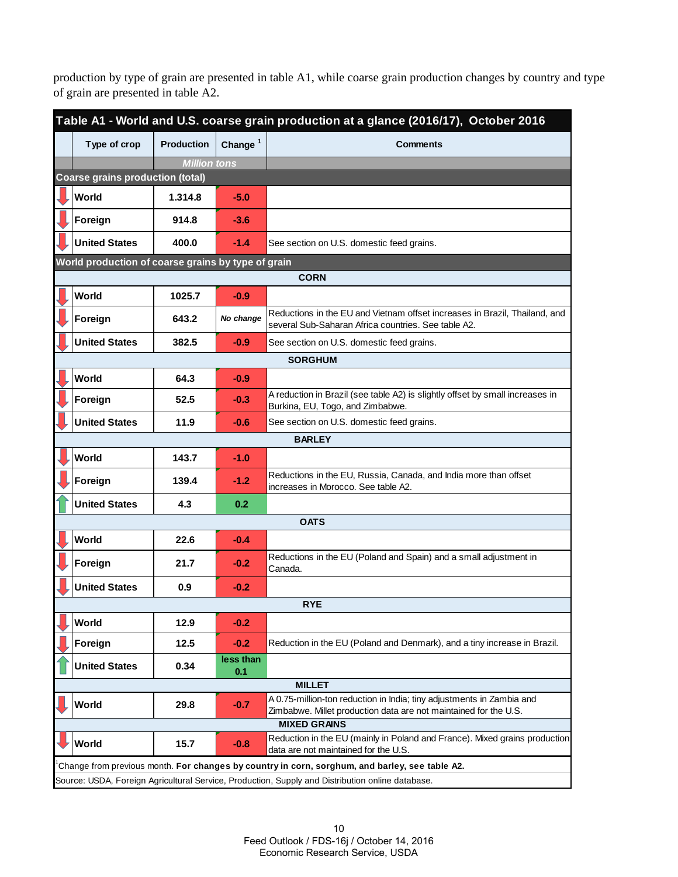production by type of grain are presented in table A1, while coarse grain production changes by country and type of grain are presented in table A2.

| Table A1 - World and U.S. coarse grain production at a glance (2016/17), October 2016 |                     |                  |                                                                                                                                           |  |  |  |  |  |  |  |
|---------------------------------------------------------------------------------------|---------------------|------------------|-------------------------------------------------------------------------------------------------------------------------------------------|--|--|--|--|--|--|--|
| Type of crop                                                                          | <b>Production</b>   | Change $1$       | <b>Comments</b>                                                                                                                           |  |  |  |  |  |  |  |
|                                                                                       | <b>Million tons</b> |                  |                                                                                                                                           |  |  |  |  |  |  |  |
| <b>Coarse grains production (total)</b>                                               |                     |                  |                                                                                                                                           |  |  |  |  |  |  |  |
| World                                                                                 | 1.314.8             | $-5.0$           |                                                                                                                                           |  |  |  |  |  |  |  |
| Foreign                                                                               | 914.8               | $-3.6$           |                                                                                                                                           |  |  |  |  |  |  |  |
| <b>United States</b>                                                                  | 400.0               | $-1.4$           | See section on U.S. domestic feed grains.                                                                                                 |  |  |  |  |  |  |  |
| World production of coarse grains by type of grain                                    |                     |                  |                                                                                                                                           |  |  |  |  |  |  |  |
|                                                                                       |                     |                  | <b>CORN</b>                                                                                                                               |  |  |  |  |  |  |  |
| World                                                                                 | 1025.7              | $-0.9$           |                                                                                                                                           |  |  |  |  |  |  |  |
| Foreign                                                                               | 643.2               | No change        | Reductions in the EU and Vietnam offset increases in Brazil, Thailand, and<br>several Sub-Saharan Africa countries. See table A2.         |  |  |  |  |  |  |  |
| <b>United States</b>                                                                  | 382.5               | $-0.9$           | See section on U.S. domestic feed grains.                                                                                                 |  |  |  |  |  |  |  |
| <b>SORGHUM</b>                                                                        |                     |                  |                                                                                                                                           |  |  |  |  |  |  |  |
| World                                                                                 | 64.3                | $-0.9$           |                                                                                                                                           |  |  |  |  |  |  |  |
| Foreign                                                                               | 52.5                | $-0.3$           | A reduction in Brazil (see table A2) is slightly offset by small increases in<br>Burkina, EU, Togo, and Zimbabwe.                         |  |  |  |  |  |  |  |
| <b>United States</b>                                                                  | 11.9                | $-0.6$           | See section on U.S. domestic feed grains.                                                                                                 |  |  |  |  |  |  |  |
| <b>BARLEY</b>                                                                         |                     |                  |                                                                                                                                           |  |  |  |  |  |  |  |
| World                                                                                 | 143.7               | $-1.0$           |                                                                                                                                           |  |  |  |  |  |  |  |
| Foreign                                                                               | 139.4               | $-1.2$           | Reductions in the EU, Russia, Canada, and India more than offset<br>increases in Morocco. See table A2.                                   |  |  |  |  |  |  |  |
| <b>United States</b>                                                                  | 4.3                 | 0.2              |                                                                                                                                           |  |  |  |  |  |  |  |
|                                                                                       |                     |                  | <b>OATS</b>                                                                                                                               |  |  |  |  |  |  |  |
| World                                                                                 | 22.6                | $-0.4$           |                                                                                                                                           |  |  |  |  |  |  |  |
| Foreign                                                                               | 21.7                | $-0.2$           | Reductions in the EU (Poland and Spain) and a small adjustment in<br>Canada.                                                              |  |  |  |  |  |  |  |
| <b>United States</b>                                                                  | 0.9                 | $-0.2$           |                                                                                                                                           |  |  |  |  |  |  |  |
|                                                                                       |                     |                  | <b>RYE</b>                                                                                                                                |  |  |  |  |  |  |  |
| <b>World</b>                                                                          | 12.9                | $-0.2$           |                                                                                                                                           |  |  |  |  |  |  |  |
| Foreign                                                                               | 12.5                | $-0.2$           | Reduction in the EU (Poland and Denmark), and a tiny increase in Brazil.                                                                  |  |  |  |  |  |  |  |
| <b>United States</b>                                                                  | 0.34                | less than<br>0.1 |                                                                                                                                           |  |  |  |  |  |  |  |
|                                                                                       |                     |                  | <b>MILLET</b>                                                                                                                             |  |  |  |  |  |  |  |
| <b>World</b>                                                                          | 29.8                | $-0.7$           | A 0.75-million-ton reduction in India; tiny adjustments in Zambia and<br>Zimbabwe. Millet production data are not maintained for the U.S. |  |  |  |  |  |  |  |
|                                                                                       |                     |                  | <b>MIXED GRAINS</b>                                                                                                                       |  |  |  |  |  |  |  |
| World                                                                                 | 15.7                | $-0.8$           | Reduction in the EU (mainly in Poland and France). Mixed grains production<br>data are not maintained for the U.S.                        |  |  |  |  |  |  |  |
|                                                                                       |                     |                  | Change from previous month. For changes by country in corn, sorghum, and barley, see table A2.                                            |  |  |  |  |  |  |  |
|                                                                                       |                     |                  | Source: USDA, Foreign Agricultural Service, Production, Supply and Distribution online database.                                          |  |  |  |  |  |  |  |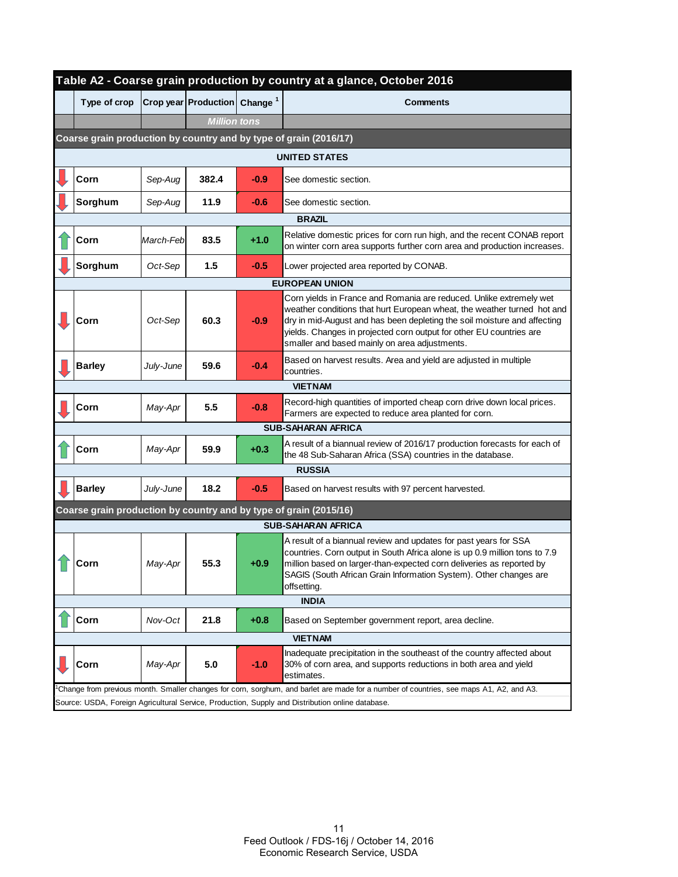| Table A2 - Coarse grain production by country at a glance, October 2016 |           |                                    |        |                                                                                                                                                                                                                                                                                                                                                    |  |  |  |  |  |  |
|-------------------------------------------------------------------------|-----------|------------------------------------|--------|----------------------------------------------------------------------------------------------------------------------------------------------------------------------------------------------------------------------------------------------------------------------------------------------------------------------------------------------------|--|--|--|--|--|--|
| Type of crop                                                            |           | $ Crop$ year Production $ Change1$ |        | <b>Comments</b>                                                                                                                                                                                                                                                                                                                                    |  |  |  |  |  |  |
|                                                                         |           | <b>Million tons</b>                |        |                                                                                                                                                                                                                                                                                                                                                    |  |  |  |  |  |  |
| Coarse grain production by country and by type of grain (2016/17)       |           |                                    |        |                                                                                                                                                                                                                                                                                                                                                    |  |  |  |  |  |  |
| <b>UNITED STATES</b>                                                    |           |                                    |        |                                                                                                                                                                                                                                                                                                                                                    |  |  |  |  |  |  |
| Corn                                                                    | Sep-Aug   | 382.4                              | $-0.9$ | See domestic section.                                                                                                                                                                                                                                                                                                                              |  |  |  |  |  |  |
| Sorghum                                                                 | Sep-Aug   | 11.9                               | $-0.6$ | See domestic section.                                                                                                                                                                                                                                                                                                                              |  |  |  |  |  |  |
|                                                                         |           |                                    |        | <b>BRAZIL</b>                                                                                                                                                                                                                                                                                                                                      |  |  |  |  |  |  |
| Corn                                                                    | March-Feb | 83.5                               | $+1.0$ | Relative domestic prices for corn run high, and the recent CONAB report<br>on winter corn area supports further corn area and production increases.                                                                                                                                                                                                |  |  |  |  |  |  |
| Sorghum                                                                 | Oct-Sep   | 1.5                                | $-0.5$ | Lower projected area reported by CONAB.                                                                                                                                                                                                                                                                                                            |  |  |  |  |  |  |
|                                                                         |           |                                    |        | <b>EUROPEAN UNION</b>                                                                                                                                                                                                                                                                                                                              |  |  |  |  |  |  |
| Corn                                                                    | Oct-Sep   | 60.3                               | $-0.9$ | Corn yields in France and Romania are reduced. Unlike extremely wet<br>weather conditions that hurt European wheat, the weather turned hot and<br>dry in mid-August and has been depleting the soil moisture and affecting<br>yields. Changes in projected corn output for other EU countries are<br>smaller and based mainly on area adjustments. |  |  |  |  |  |  |
| <b>Barley</b>                                                           | July-June | 59.6                               | $-0.4$ | Based on harvest results. Area and yield are adjusted in multiple<br>countries.                                                                                                                                                                                                                                                                    |  |  |  |  |  |  |
| <b>VIETNAM</b>                                                          |           |                                    |        |                                                                                                                                                                                                                                                                                                                                                    |  |  |  |  |  |  |
| Corn                                                                    | May-Apr   | $5.5\,$                            | $-0.8$ | Record-high quantities of imported cheap corn drive down local prices.<br>Farmers are expected to reduce area planted for corn.                                                                                                                                                                                                                    |  |  |  |  |  |  |
|                                                                         |           |                                    |        | <b>SUB-SAHARAN AFRICA</b>                                                                                                                                                                                                                                                                                                                          |  |  |  |  |  |  |
| Corn                                                                    | May-Apr   | 59.9                               | $+0.3$ | A result of a biannual review of 2016/17 production forecasts for each of<br>the 48 Sub-Saharan Africa (SSA) countries in the database.                                                                                                                                                                                                            |  |  |  |  |  |  |
|                                                                         |           |                                    |        | <b>RUSSIA</b>                                                                                                                                                                                                                                                                                                                                      |  |  |  |  |  |  |
| <b>Barley</b>                                                           | July-June | 18.2                               | $-0.5$ | Based on harvest results with 97 percent harvested.                                                                                                                                                                                                                                                                                                |  |  |  |  |  |  |
|                                                                         |           |                                    |        | Coarse grain production by country and by type of grain (2015/16)                                                                                                                                                                                                                                                                                  |  |  |  |  |  |  |
|                                                                         |           |                                    |        | <b>SUB-SAHARAN AFRICA</b>                                                                                                                                                                                                                                                                                                                          |  |  |  |  |  |  |
| Corn                                                                    | May-Apr   | 55.3                               | $+0.9$ | A result of a biannual review and updates for past years for SSA<br>countries. Corn output in South Africa alone is up 0.9 million tons to 7.9<br>million based on larger-than-expected corn deliveries as reported by<br>SAGIS (South African Grain Information System). Other changes are<br>offsetting.                                         |  |  |  |  |  |  |
|                                                                         |           |                                    |        | <b>INDIA</b>                                                                                                                                                                                                                                                                                                                                       |  |  |  |  |  |  |
| Corn                                                                    | Nov-Oct   | 21.8                               | $+0.8$ | Based on September government report, area decline.                                                                                                                                                                                                                                                                                                |  |  |  |  |  |  |
|                                                                         |           |                                    |        | <b>VIETNAM</b>                                                                                                                                                                                                                                                                                                                                     |  |  |  |  |  |  |
| Corn                                                                    | May-Apr   | 5.0                                | $-1.0$ | Inadequate precipitation in the southeast of the country affected about<br>30% of corn area, and supports reductions in both area and yield<br>estimates.                                                                                                                                                                                          |  |  |  |  |  |  |
|                                                                         |           |                                    |        | Change from previous month. Smaller changes for corn, sorghum, and barlet are made for a number of countries, see maps A1, A2, and A3.                                                                                                                                                                                                             |  |  |  |  |  |  |
|                                                                         |           |                                    |        | Source: USDA, Foreign Agricultural Service, Production, Supply and Distribution online database.                                                                                                                                                                                                                                                   |  |  |  |  |  |  |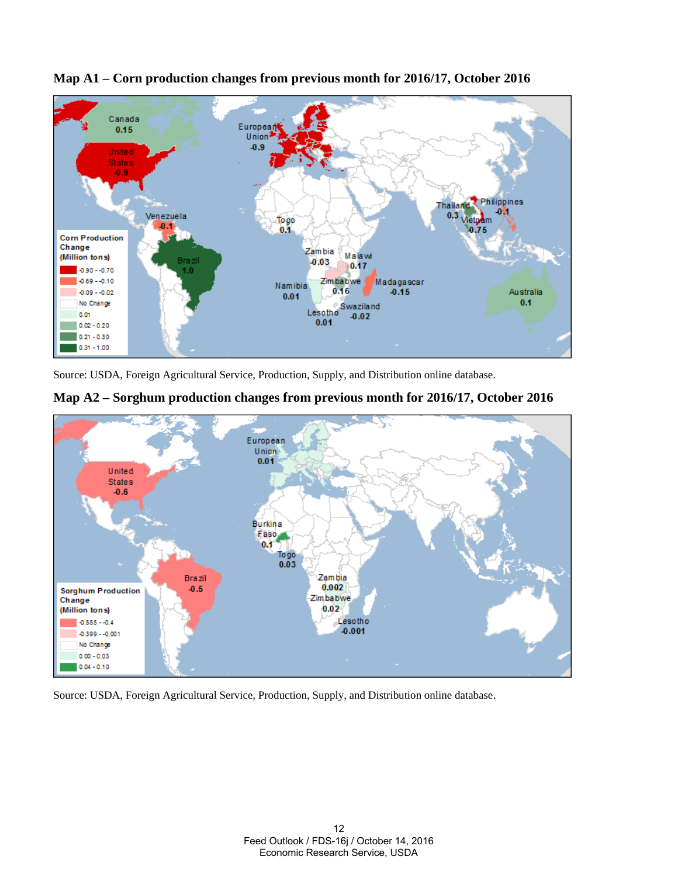



Source: USDA, Foreign Agricultural Service, Production, Supply, and Distribution online database.





Source: USDA, Foreign Agricultural Service, Production, Supply, and Distribution online database.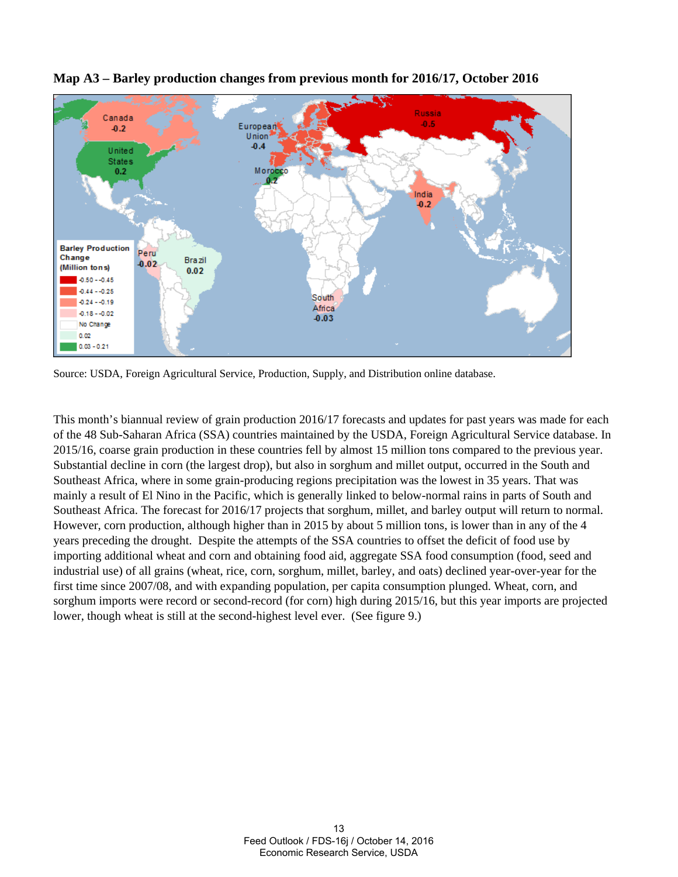

**Map A3 – Barley production changes from previous month for 2016/17, October 2016**

Source: USDA, Foreign Agricultural Service, Production, Supply, and Distribution online database.

This month's biannual review of grain production 2016/17 forecasts and updates for past years was made for each of the 48 Sub-Saharan Africa (SSA) countries maintained by the USDA, Foreign Agricultural Service database. In 2015/16, coarse grain production in these countries fell by almost 15 million tons compared to the previous year. Substantial decline in corn (the largest drop), but also in sorghum and millet output, occurred in the South and Southeast Africa, where in some grain-producing regions precipitation was the lowest in 35 years. That was mainly a result of El Nino in the Pacific, which is generally linked to below-normal rains in parts of South and Southeast Africa. The forecast for 2016/17 projects that sorghum, millet, and barley output will return to normal. However, corn production, although higher than in 2015 by about 5 million tons, is lower than in any of the 4 years preceding the drought. Despite the attempts of the SSA countries to offset the deficit of food use by importing additional wheat and corn and obtaining food aid, aggregate SSA food consumption (food, seed and industrial use) of all grains (wheat, rice, corn, sorghum, millet, barley, and oats) declined year-over-year for the first time since 2007/08, and with expanding population, per capita consumption plunged. Wheat, corn, and sorghum imports were record or second-record (for corn) high during 2015/16, but this year imports are projected lower, though wheat is still at the second-highest level ever. (See figure 9.)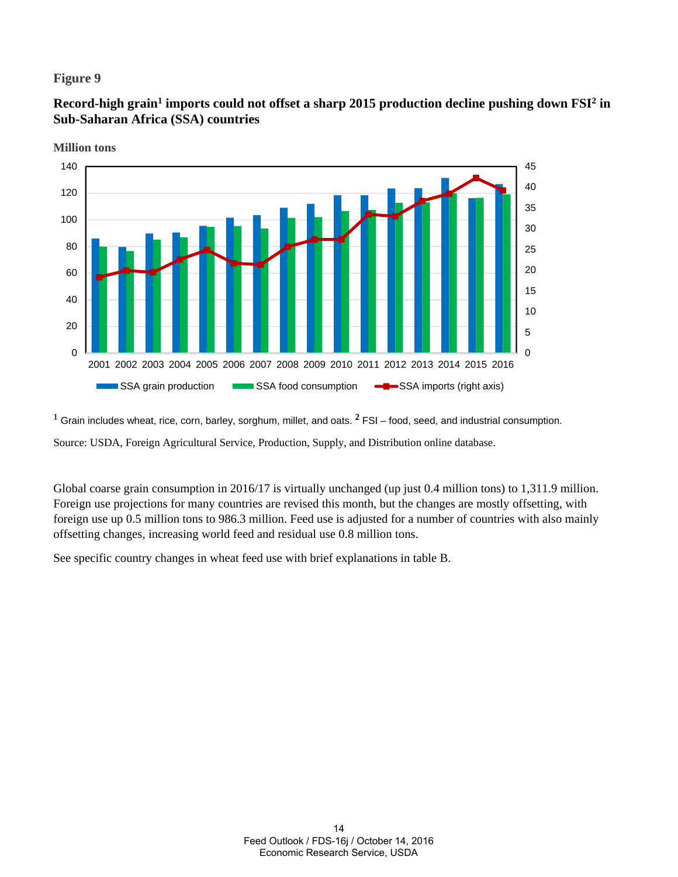# **Figure 9**

Record-high grain<sup>1</sup> imports could not offset a sharp 2015 production decline pushing down FSI<sup>2</sup> in **Sub-Saharan Africa (SSA) countries** 



**Million tons**

**1** Grain includes wheat, rice, corn, barley, sorghum, millet, and oats. **2** FSI – food, seed, and industrial consumption.

Source: USDA, Foreign Agricultural Service, Production, Supply, and Distribution online database.

Global coarse grain consumption in 2016/17 is virtually unchanged (up just 0.4 million tons) to 1,311.9 million. Foreign use projections for many countries are revised this month, but the changes are mostly offsetting, with foreign use up 0.5 million tons to 986.3 million. Feed use is adjusted for a number of countries with also mainly offsetting changes, increasing world feed and residual use 0.8 million tons.

See specific country changes in wheat feed use with brief explanations in table B.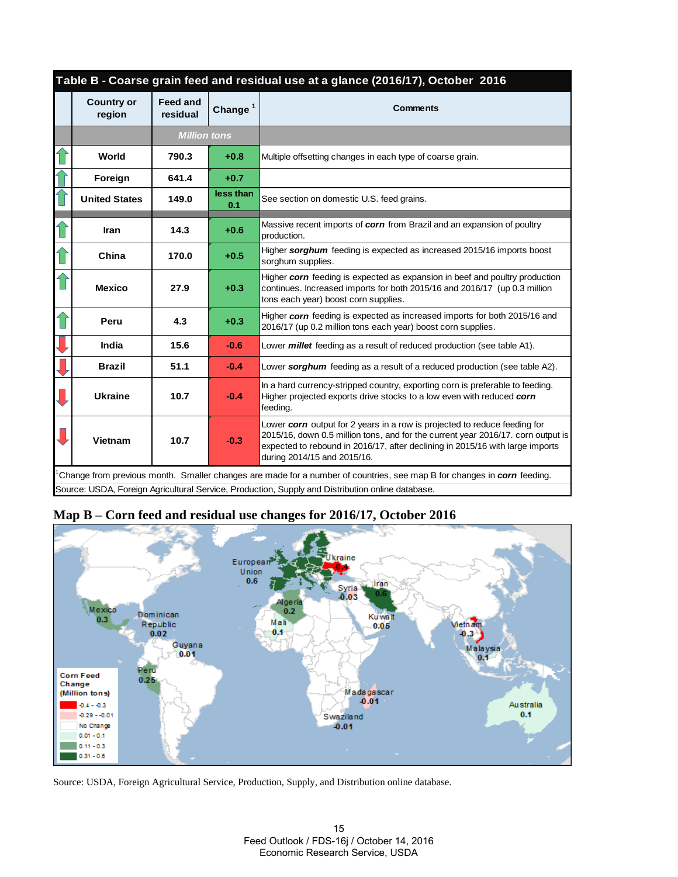| Table B - Coarse grain feed and residual use at a glance (2016/17), October 2016 |                             |                  |                                                                                                                                                                                                                                                                               |  |  |  |  |  |  |
|----------------------------------------------------------------------------------|-----------------------------|------------------|-------------------------------------------------------------------------------------------------------------------------------------------------------------------------------------------------------------------------------------------------------------------------------|--|--|--|--|--|--|
| <b>Country or</b><br>region                                                      | <b>Feed and</b><br>residual | Change $1$       | <b>Comments</b>                                                                                                                                                                                                                                                               |  |  |  |  |  |  |
|                                                                                  | <b>Million tons</b>         |                  |                                                                                                                                                                                                                                                                               |  |  |  |  |  |  |
| World                                                                            | 790.3                       | $+0.8$           | Multiple offsetting changes in each type of coarse grain.                                                                                                                                                                                                                     |  |  |  |  |  |  |
| Foreign                                                                          | 641.4                       | $+0.7$           |                                                                                                                                                                                                                                                                               |  |  |  |  |  |  |
| <b>United States</b>                                                             | 149.0                       | less than<br>0.1 | See section on domestic U.S. feed grains.                                                                                                                                                                                                                                     |  |  |  |  |  |  |
| <b>Iran</b>                                                                      | 14.3                        | $+0.6$           | Massive recent imports of corn from Brazil and an expansion of poultry<br>production.                                                                                                                                                                                         |  |  |  |  |  |  |
| China                                                                            | 170.0                       | $+0.5$           | Higher sorghum feeding is expected as increased 2015/16 imports boost<br>sorghum supplies.                                                                                                                                                                                    |  |  |  |  |  |  |
| <b>Mexico</b>                                                                    | 27.9                        | $+0.3$           | Higher corn feeding is expected as expansion in beef and poultry production<br>continues. Increased imports for both 2015/16 and 2016/17 (up 0.3 million<br>tons each year) boost corn supplies.                                                                              |  |  |  |  |  |  |
| Peru                                                                             | 4.3                         | $+0.3$           | Higher corn feeding is expected as increased imports for both 2015/16 and<br>2016/17 (up 0.2 million tons each year) boost corn supplies.                                                                                                                                     |  |  |  |  |  |  |
| India                                                                            | 15.6                        | $-0.6$           | Lower <i>millet</i> feeding as a result of reduced production (see table A1).                                                                                                                                                                                                 |  |  |  |  |  |  |
| <b>Brazil</b>                                                                    | 51.1                        | $-0.4$           | Lower sorghum feeding as a result of a reduced production (see table A2).                                                                                                                                                                                                     |  |  |  |  |  |  |
| <b>Ukraine</b>                                                                   | 10.7                        | $-0.4$           | In a hard currency-stripped country, exporting corn is preferable to feeding.<br>Higher projected exports drive stocks to a low even with reduced corn<br>feeding.                                                                                                            |  |  |  |  |  |  |
| Vietnam                                                                          | 10.7                        | $-0.3$           | Lower corn output for 2 years in a row is projected to reduce feeding for<br>2015/16, down 0.5 million tons, and for the current year 2016/17. corn output is<br>expected to rebound in 2016/17, after declining in 2015/16 with large imports<br>during 2014/15 and 2015/16. |  |  |  |  |  |  |
|                                                                                  |                             |                  | Change from previous month. Smaller changes are made for a number of countries, see map B for changes in corn feeding.<br>Source: USDA, Foreign Agricultural Service, Production, Supply and Distribution online database.                                                    |  |  |  |  |  |  |

# **Map B – Corn feed and residual use changes for 2016/17, October 2016**



Source: USDA, Foreign Agricultural Service, Production, Supply, and Distribution online database.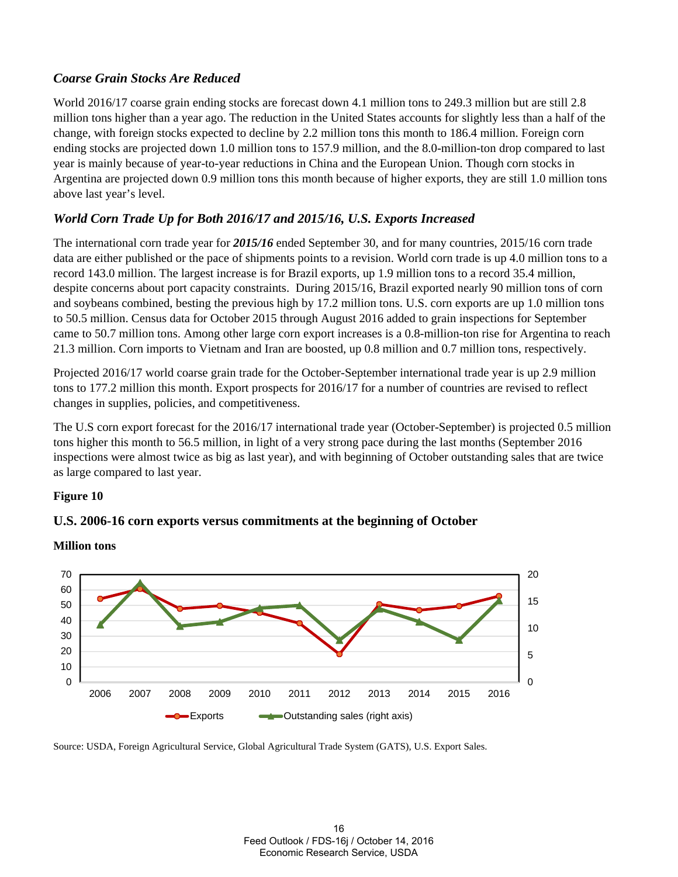# *Coarse Grain Stocks Are Reduced*

World 2016/17 coarse grain ending stocks are forecast down 4.1 million tons to 249.3 million but are still 2.8 million tons higher than a year ago. The reduction in the United States accounts for slightly less than a half of the change, with foreign stocks expected to decline by 2.2 million tons this month to 186.4 million. Foreign corn ending stocks are projected down 1.0 million tons to 157.9 million, and the 8.0-million-ton drop compared to last year is mainly because of year-to-year reductions in China and the European Union. Though corn stocks in Argentina are projected down 0.9 million tons this month because of higher exports, they are still 1.0 million tons above last year's level.

# *World Corn Trade Up for Both 2016/17 and 2015/16, U.S. Exports Increased*

The international corn trade year for *2015/16* ended September 30, and for many countries, 2015/16 corn trade data are either published or the pace of shipments points to a revision. World corn trade is up 4.0 million tons to a record 143.0 million. The largest increase is for Brazil exports, up 1.9 million tons to a record 35.4 million, despite concerns about port capacity constraints. During 2015/16, Brazil exported nearly 90 million tons of corn and soybeans combined, besting the previous high by 17.2 million tons. U.S. corn exports are up 1.0 million tons to 50.5 million. Census data for October 2015 through August 2016 added to grain inspections for September came to 50.7 million tons. Among other large corn export increases is a 0.8-million-ton rise for Argentina to reach 21.3 million. Corn imports to Vietnam and Iran are boosted, up 0.8 million and 0.7 million tons, respectively.

Projected 2016/17 world coarse grain trade for the October-September international trade year is up 2.9 million tons to 177.2 million this month. Export prospects for 2016/17 for a number of countries are revised to reflect changes in supplies, policies, and competitiveness.

The U.S corn export forecast for the 2016/17 international trade year (October-September) is projected 0.5 million tons higher this month to 56.5 million, in light of a very strong pace during the last months (September 2016 inspections were almost twice as big as last year), and with beginning of October outstanding sales that are twice as large compared to last year.

### **Figure 10**





**Million tons** 

Source: USDA, Foreign Agricultural Service, Global Agricultural Trade System (GATS), U.S. Export Sales.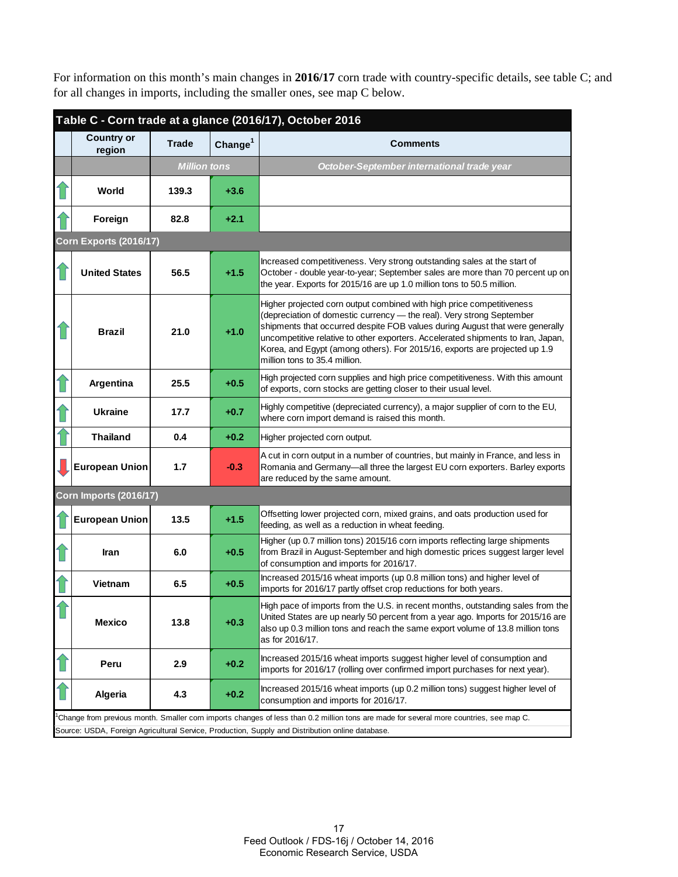For information on this month's main changes in **2016/17** corn trade with country-specific details, see table C; and for all changes in imports, including the smaller ones, see map C below.

| Table C - Corn trade at a glance (2016/17), October 2016 |                     |                     |                                                                                                                                                                                                                                                                                                                                                                                                                                   |  |  |  |  |  |  |  |
|----------------------------------------------------------|---------------------|---------------------|-----------------------------------------------------------------------------------------------------------------------------------------------------------------------------------------------------------------------------------------------------------------------------------------------------------------------------------------------------------------------------------------------------------------------------------|--|--|--|--|--|--|--|
| <b>Country or</b><br>region                              | <b>Trade</b>        | Change <sup>1</sup> | <b>Comments</b>                                                                                                                                                                                                                                                                                                                                                                                                                   |  |  |  |  |  |  |  |
|                                                          | <b>Million tons</b> |                     | October-September international trade year                                                                                                                                                                                                                                                                                                                                                                                        |  |  |  |  |  |  |  |
| World                                                    | 139.3               | $+3.6$              |                                                                                                                                                                                                                                                                                                                                                                                                                                   |  |  |  |  |  |  |  |
| Foreign                                                  | 82.8                | $+2.1$              |                                                                                                                                                                                                                                                                                                                                                                                                                                   |  |  |  |  |  |  |  |
| <b>Corn Exports (2016/17)</b>                            |                     |                     |                                                                                                                                                                                                                                                                                                                                                                                                                                   |  |  |  |  |  |  |  |
| <b>United States</b>                                     | 56.5                | $+1.5$              | Increased competitiveness. Very strong outstanding sales at the start of<br>October - double year-to-year; September sales are more than 70 percent up on<br>the year. Exports for 2015/16 are up 1.0 million tons to 50.5 million.                                                                                                                                                                                               |  |  |  |  |  |  |  |
| <b>Brazil</b>                                            | 21.0                | $+1.0$              | Higher projected corn output combined with high price competitiveness<br>(depreciation of domestic currency - the real). Very strong September<br>shipments that occurred despite FOB values during August that were generally<br>uncompetitive relative to other exporters. Accelerated shipments to Iran, Japan,<br>Korea, and Egypt (among others). For 2015/16, exports are projected up 1.9<br>million tons to 35.4 million. |  |  |  |  |  |  |  |
| Argentina                                                | 25.5                | $+0.5$              | High projected corn supplies and high price competitiveness. With this amount<br>of exports, corn stocks are getting closer to their usual level.                                                                                                                                                                                                                                                                                 |  |  |  |  |  |  |  |
| <b>Ukraine</b>                                           | 17.7                | $+0.7$              | Highly competitive (depreciated currency), a major supplier of corn to the EU,<br>where corn import demand is raised this month.                                                                                                                                                                                                                                                                                                  |  |  |  |  |  |  |  |
| <b>Thailand</b>                                          | 0.4                 | $+0.2$              | Higher projected corn output.                                                                                                                                                                                                                                                                                                                                                                                                     |  |  |  |  |  |  |  |
| <b>European Union</b>                                    | 1.7                 | $-0.3$              | A cut in corn output in a number of countries, but mainly in France, and less in<br>Romania and Germany-all three the largest EU corn exporters. Barley exports<br>are reduced by the same amount.                                                                                                                                                                                                                                |  |  |  |  |  |  |  |
| <b>Corn Imports (2016/17)</b>                            |                     |                     |                                                                                                                                                                                                                                                                                                                                                                                                                                   |  |  |  |  |  |  |  |
| <b>European Union</b>                                    | 13.5                | $+1.5$              | Offsetting lower projected corn, mixed grains, and oats production used for<br>feeding, as well as a reduction in wheat feeding.                                                                                                                                                                                                                                                                                                  |  |  |  |  |  |  |  |
| Iran                                                     | 6.0                 | $+0.5$              | Higher (up 0.7 million tons) 2015/16 corn imports reflecting large shipments<br>from Brazil in August-September and high domestic prices suggest larger level<br>of consumption and imports for 2016/17.                                                                                                                                                                                                                          |  |  |  |  |  |  |  |
| Vietnam                                                  | 6.5                 | $+0.5$              | Increased 2015/16 wheat imports (up 0.8 million tons) and higher level of<br>imports for 2016/17 partly offset crop reductions for both years.                                                                                                                                                                                                                                                                                    |  |  |  |  |  |  |  |
| <b>Mexico</b>                                            | 13.8                | $+0.3$              | High pace of imports from the U.S. in recent months, outstanding sales from the<br>United States are up nearly 50 percent from a year ago. Imports for 2015/16 are<br>also up 0.3 million tons and reach the same export volume of 13.8 million tons<br>as for 2016/17.                                                                                                                                                           |  |  |  |  |  |  |  |
| Peru                                                     | 2.9                 | $+0.2$              | Increased 2015/16 wheat imports suggest higher level of consumption and<br>imports for 2016/17 (rolling over confirmed import purchases for next year).                                                                                                                                                                                                                                                                           |  |  |  |  |  |  |  |
| <b>Algeria</b>                                           | 4.3                 | $+0.2$              | Increased 2015/16 wheat imports (up 0.2 million tons) suggest higher level of<br>consumption and imports for 2016/17.                                                                                                                                                                                                                                                                                                             |  |  |  |  |  |  |  |
|                                                          |                     |                     | Change from previous month. Smaller com imports changes of less than 0.2 million tons are made for several more countries, see map C.<br>Source: USDA, Foreign Agricultural Service, Production, Supply and Distribution online database.                                                                                                                                                                                         |  |  |  |  |  |  |  |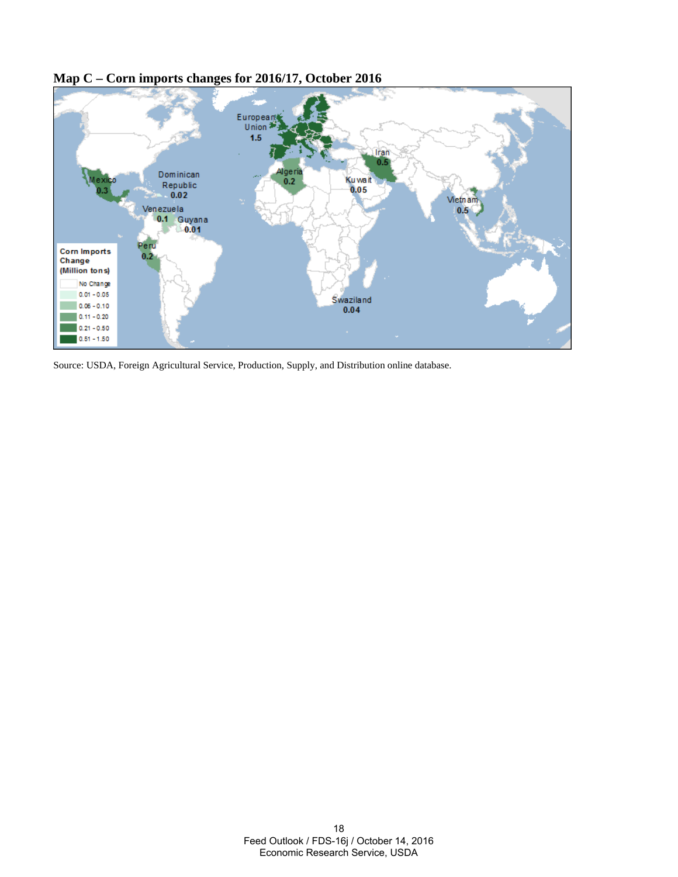

# **Map C – Corn imports changes for 2016/17, October 2016**

Source: USDA, Foreign Agricultural Service, Production, Supply, and Distribution online database.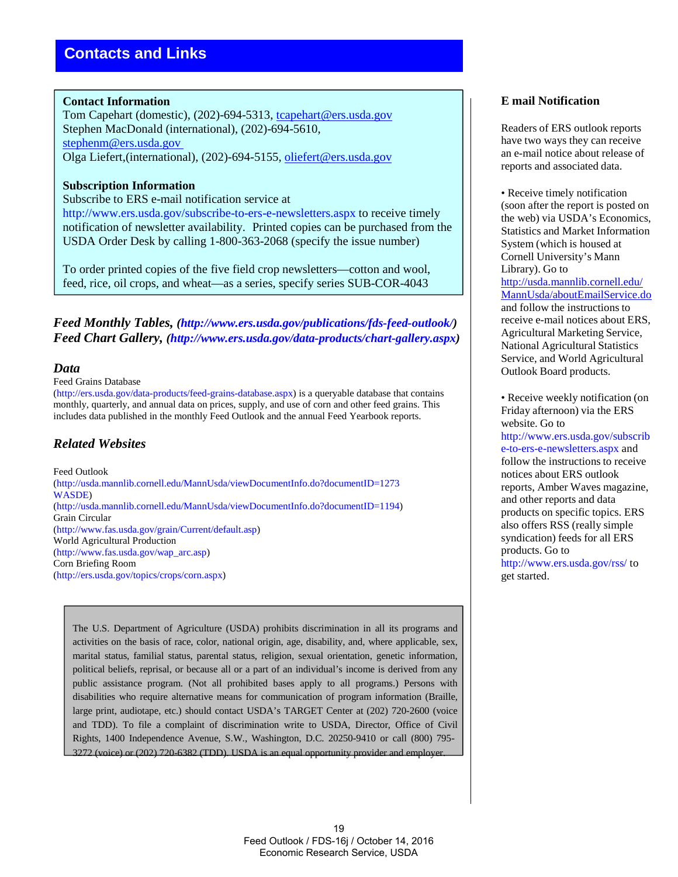### **Contact Information**

Tom Capehart (domestic), (202)-694-5313, tcapehart@ers.usda.gov Stephen MacDonald (international), (202)-694-5610, stephenm@ers.usda.gov Olga Liefert,(international), (202)-694-5155, oliefert@ers.usda.gov

### **Subscription Information**

#### Subscribe to ERS e-mail notification service at

http://www.ers.usda.gov/subscribe-to-ers-e-newsletters.aspx to receive timely notification of newsletter availability. Printed copies can be purchased from the USDA Order Desk by calling 1-800-363-2068 (specify the issue number)

To order printed copies of the five field crop newsletters—cotton and wool, feed, rice, oil crops, and wheat—as a series, specify series SUB-COR-4043

*Feed Monthly Tables, (http://www.ers.usda.gov/publications/fds-feed-outlook/) Feed Chart Gallery, (http://www.ers.usda.gov/data-products/chart-gallery.aspx)*

### *Data*

### Feed Grains Database

(http://ers.usda.gov/data-products/feed-grains-database.aspx) is a queryable database that contains monthly, quarterly, and annual data on prices, supply, and use of corn and other feed grains. This includes data published in the monthly Feed Outlook and the annual Feed Yearbook reports.

### *Related Websites*

Feed Outlook (http://usda.mannlib.cornell.edu/MannUsda/viewDocumentInfo.do?documentID=1273 WASDE) (http://usda.mannlib.cornell.edu/MannUsda/viewDocumentInfo.do?documentID=1194) Grain Circular (http://www.fas.usda.gov/grain/Current/default.asp) World Agricultural Production (http://www.fas.usda.gov/wap\_arc.asp) Corn Briefing Room (http://ers.usda.gov/topics/crops/corn.aspx)

The U.S. Department of Agriculture (USDA) prohibits discrimination in all its programs and activities on the basis of race, color, national origin, age, disability, and, where applicable, sex, marital status, familial status, parental status, religion, sexual orientation, genetic information, political beliefs, reprisal, or because all or a part of an individual's income is derived from any public assistance program. (Not all prohibited bases apply to all programs.) Persons with disabilities who require alternative means for communication of program information (Braille, large print, audiotape, etc.) should contact USDA's TARGET Center at (202) 720-2600 (voice and TDD). To file a complaint of discrimination write to USDA, Director, Office of Civil Rights, 1400 Independence Avenue, S.W., Washington, D.C. 20250-9410 or call (800) 795- 3272 (voice) or (202) 720-6382 (TDD). USDA is an equal opportunity provider and employer.

#### 19 Feed Outlook / FDS-16j / October 14, 2016 Economic Research Service, USDA

### **E mail Notification**

Readers of ERS outlook reports have two ways they can receive an e-mail notice about release of reports and associated data.

• Receive timely notification (soon after the report is posted on the web) via USDA's Economics, Statistics and Market Information System (which is housed at Cornell University's Mann Library). Go to http://usda.mannlib.cornell.edu/ MannUsda/aboutEmailService.do and follow the instructions to receive e-mail notices about ERS, Agricultural Marketing Service, National Agricultural Statistics Service, and World Agricultural Outlook Board products.

• Receive weekly notification (on Friday afternoon) via the ERS website. Go to http://www.ers.usda.gov/subscrib e-to-ers-e-newsletters.aspx and follow the instructions to receive notices about ERS outlook reports, Amber Waves magazine, and other reports and data products on specific topics. ERS also offers RSS (really simple syndication) feeds for all ERS products. Go to http://www.ers.usda.gov/rss/ to

get started.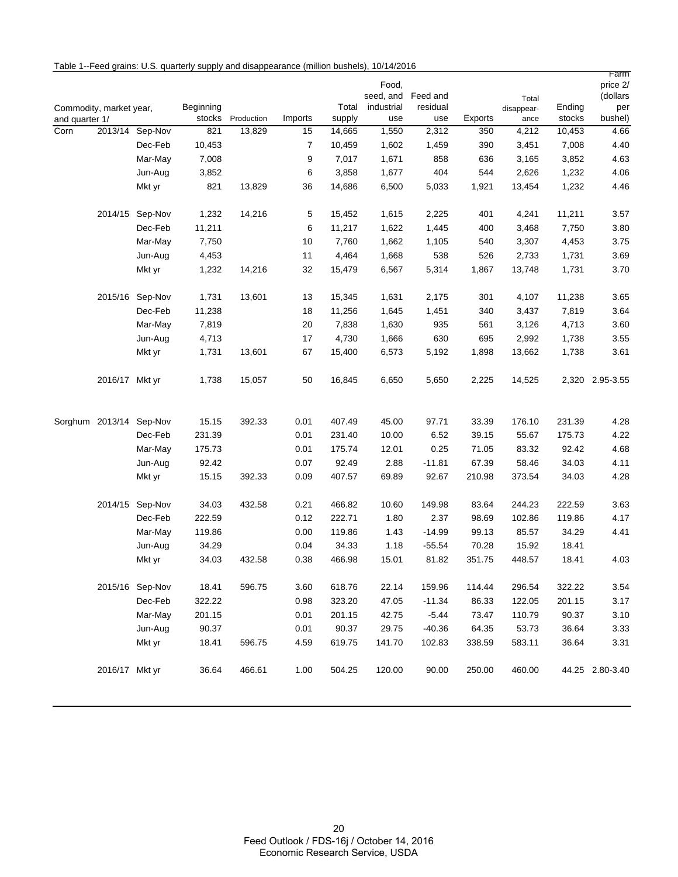|  |  | Table 1--Feed grains: U.S. quarterly supply and disappearance (million bushels), 10/14/2016 |  |
|--|--|---------------------------------------------------------------------------------------------|--|
|--|--|---------------------------------------------------------------------------------------------|--|

| and quarter 1/ | Commodity, market year, |                 | Beginning<br>stocks | Production | Imports | Total<br>supply | Food,<br>seed, and<br>industrial<br>use | Feed and<br>residual<br>use | Exports | Total<br>disappear-<br>ance | Ending<br>stocks | rarm<br>price 2/<br>(dollars<br>per<br>bushel) |
|----------------|-------------------------|-----------------|---------------------|------------|---------|-----------------|-----------------------------------------|-----------------------------|---------|-----------------------------|------------------|------------------------------------------------|
| Corn           |                         | 2013/14 Sep-Nov | 821                 | 13,829     | 15      | 14,665          | 1,550                                   | 2,312                       | 350     | 4,212                       | 10,453           | 4.66                                           |
|                |                         | Dec-Feb         | 10,453              |            | 7       | 10,459          | 1,602                                   | 1,459                       | 390     | 3,451                       | 7,008            | 4.40                                           |
|                |                         | Mar-May         | 7,008               |            | 9       | 7,017           | 1,671                                   | 858                         | 636     | 3,165                       | 3,852            | 4.63                                           |
|                |                         | Jun-Aug         | 3,852               |            | 6       | 3,858           | 1,677                                   | 404                         | 544     | 2,626                       | 1,232            | 4.06                                           |
|                |                         | Mkt yr          | 821                 | 13,829     | 36      | 14,686          | 6,500                                   | 5,033                       | 1,921   | 13,454                      | 1,232            | 4.46                                           |
|                |                         | 2014/15 Sep-Nov | 1,232               | 14,216     | 5       | 15,452          | 1,615                                   | 2,225                       | 401     | 4,241                       | 11,211           | 3.57                                           |
|                |                         | Dec-Feb         | 11,211              |            | 6       | 11,217          | 1,622                                   | 1,445                       | 400     | 3,468                       | 7,750            | 3.80                                           |
|                |                         | Mar-May         | 7,750               |            | 10      | 7,760           | 1,662                                   | 1,105                       | 540     | 3,307                       | 4,453            | 3.75                                           |
|                |                         | Jun-Aug         | 4,453               |            | 11      | 4,464           | 1,668                                   | 538                         | 526     | 2,733                       | 1,731            | 3.69                                           |
|                |                         | Mkt yr          | 1,232               | 14,216     | 32      | 15,479          | 6,567                                   | 5,314                       | 1,867   | 13,748                      | 1,731            | 3.70                                           |
|                | 2015/16                 | Sep-Nov         | 1,731               | 13,601     | 13      | 15,345          | 1,631                                   | 2,175                       | 301     | 4,107                       | 11,238           | 3.65                                           |
|                |                         | Dec-Feb         | 11,238              |            | 18      | 11,256          | 1,645                                   | 1,451                       | 340     | 3,437                       | 7,819            | 3.64                                           |
|                |                         | Mar-May         | 7,819               |            | 20      | 7,838           | 1,630                                   | 935                         | 561     | 3,126                       | 4,713            | 3.60                                           |
|                |                         | Jun-Aug         | 4,713               |            | 17      | 4,730           | 1,666                                   | 630                         | 695     | 2,992                       | 1,738            | 3.55                                           |
|                |                         | Mkt yr          | 1,731               | 13,601     | 67      | 15,400          | 6,573                                   | 5,192                       | 1,898   | 13,662                      | 1,738            | 3.61                                           |
|                | 2016/17 Mkt yr          |                 | 1,738               | 15,057     | 50      | 16,845          | 6,650                                   | 5,650                       | 2,225   | 14,525                      |                  | 2,320 2.95-3.55                                |
|                | Sorghum 2013/14 Sep-Nov |                 | 15.15               | 392.33     | 0.01    | 407.49          | 45.00                                   | 97.71                       | 33.39   | 176.10                      | 231.39           | 4.28                                           |
|                |                         | Dec-Feb         | 231.39              |            | 0.01    | 231.40          | 10.00                                   | 6.52                        | 39.15   | 55.67                       | 175.73           | 4.22                                           |
|                |                         | Mar-May         | 175.73              |            | 0.01    | 175.74          | 12.01                                   | 0.25                        | 71.05   | 83.32                       | 92.42            | 4.68                                           |
|                |                         | Jun-Aug         | 92.42               |            | 0.07    | 92.49           | 2.88                                    | $-11.81$                    | 67.39   | 58.46                       | 34.03            | 4.11                                           |
|                |                         | Mkt yr          | 15.15               | 392.33     | 0.09    | 407.57          | 69.89                                   | 92.67                       | 210.98  | 373.54                      | 34.03            | 4.28                                           |
|                |                         | 2014/15 Sep-Nov | 34.03               | 432.58     | 0.21    | 466.82          | 10.60                                   | 149.98                      | 83.64   | 244.23                      | 222.59           | 3.63                                           |
|                |                         | Dec-Feb         | 222.59              |            | 0.12    | 222.71          | 1.80                                    | 2.37                        | 98.69   | 102.86                      | 119.86           | 4.17                                           |
|                |                         | Mar-May         | 119.86              |            | 0.00    | 119.86          | 1.43                                    | $-14.99$                    | 99.13   | 85.57                       | 34.29            | 4.41                                           |
|                |                         | Jun-Aug         | 34.29               |            | 0.04    | 34.33           | 1.18                                    | $-55.54$                    | 70.28   | 15.92                       | 18.41            |                                                |
|                |                         | Mkt yr          | 34.03               | 432.58     | 0.38    | 466.98          | 15.01                                   | 81.82                       | 351.75  | 448.57                      | 18.41            | 4.03                                           |
|                |                         | 2015/16 Sep-Nov | 18.41               | 596.75     | 3.60    | 618.76          | 22.14                                   | 159.96                      | 114.44  | 296.54                      | 322.22           | 3.54                                           |
|                |                         | Dec-Feb         | 322.22              |            | 0.98    | 323.20          | 47.05                                   | $-11.34$                    | 86.33   | 122.05                      | 201.15           | 3.17                                           |
|                |                         | Mar-May         | 201.15              |            | 0.01    | 201.15          | 42.75                                   | $-5.44$                     | 73.47   | 110.79                      | 90.37            | 3.10                                           |
|                |                         | Jun-Aug         | 90.37               |            | 0.01    | 90.37           | 29.75                                   | $-40.36$                    | 64.35   | 53.73                       | 36.64            | 3.33                                           |
|                |                         | Mkt yr          | 18.41               | 596.75     | 4.59    | 619.75          | 141.70                                  | 102.83                      | 338.59  | 583.11                      | 36.64            | 3.31                                           |
|                | 2016/17 Mkt yr          |                 | 36.64               | 466.61     | 1.00    | 504.25          | 120.00                                  | 90.00                       | 250.00  | 460.00                      |                  | 44.25 2.80-3.40                                |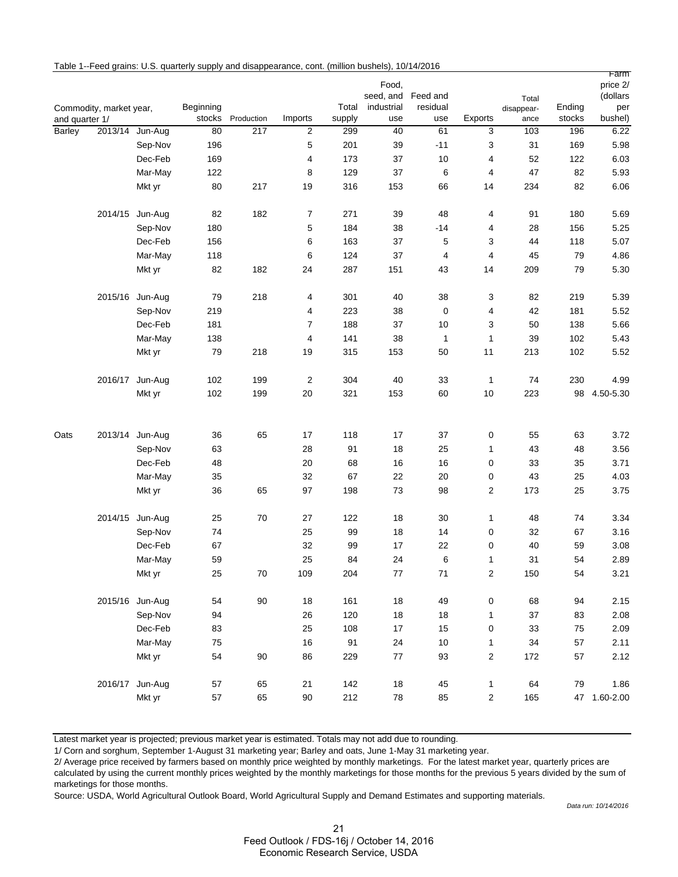|                |                         |                 |                     |            |                         |                 |                   |                    |                         |                    |                  | rarm           |
|----------------|-------------------------|-----------------|---------------------|------------|-------------------------|-----------------|-------------------|--------------------|-------------------------|--------------------|------------------|----------------|
|                |                         |                 |                     |            |                         |                 | Food,             |                    |                         |                    |                  | price 2/       |
|                |                         |                 |                     |            |                         |                 |                   | seed, and Feed and |                         | Total              |                  | (dollars       |
| and quarter 1/ | Commodity, market year, |                 | Beginning<br>stocks | Production | Imports                 | Total<br>supply | industrial<br>use | residual<br>use    | Exports                 | disappear-<br>ance | Ending<br>stocks | per<br>bushel) |
| Barley         |                         | 2013/14 Jun-Aug | 80                  | 217        | $\overline{c}$          | 299             | 40                | 61                 | 3                       | 103                | 196              | 6.22           |
|                |                         | Sep-Nov         | 196                 |            | 5                       | 201             | 39                | $-11$              | 3                       | 31                 | 169              | 5.98           |
|                |                         | Dec-Feb         | 169                 |            | 4                       | 173             | 37                | 10                 | 4                       | 52                 | 122              | 6.03           |
|                |                         | Mar-May         | 122                 |            | 8                       | 129             | 37                | 6                  | 4                       | 47                 | 82               | 5.93           |
|                |                         | Mkt yr          | 80                  | 217        | 19                      | 316             | 153               | 66                 | 14                      | 234                | 82               | 6.06           |
|                |                         |                 |                     |            |                         |                 |                   |                    |                         |                    |                  |                |
|                |                         | 2014/15 Jun-Aug | 82                  | 182        | $\overline{7}$          | 271             | 39                | 48                 | 4                       | 91                 | 180              | 5.69           |
|                |                         | Sep-Nov         | 180                 |            | 5                       | 184             | 38                | $-14$              | 4                       | 28                 | 156              | 5.25           |
|                |                         | Dec-Feb         | 156                 |            | 6                       | 163             | 37                | 5                  | 3                       | 44                 | 118              | 5.07           |
|                |                         | Mar-May         | 118                 |            | 6                       | 124             | 37                | 4                  | 4                       | 45                 | 79               | 4.86           |
|                |                         | Mkt yr          | 82                  | 182        | 24                      | 287             | 151               | 43                 | 14                      | 209                | 79               | 5.30           |
|                |                         | 2015/16 Jun-Aug | 79                  | 218        | 4                       | 301             | 40                | 38                 | 3                       | 82                 | 219              | 5.39           |
|                |                         | Sep-Nov         | 219                 |            | 4                       | 223             | 38                | $\mathbf 0$        | 4                       | 42                 | 181              | 5.52           |
|                |                         | Dec-Feb         | 181                 |            | $\overline{7}$          | 188             | 37                | 10                 | 3                       | 50                 | 138              | 5.66           |
|                |                         | Mar-May         | 138                 |            | $\overline{\mathbf{4}}$ | 141             | 38                | $\mathbf{1}$       | 1                       | 39                 | 102              | 5.43           |
|                |                         | Mkt yr          | 79                  | 218        | 19                      | 315             | 153               | 50                 | 11                      | 213                | 102              | 5.52           |
|                |                         |                 |                     |            |                         |                 |                   |                    |                         |                    |                  |                |
|                |                         | 2016/17 Jun-Aug | 102                 | 199        | $\sqrt{2}$              | 304             | 40                | 33                 | $\mathbf{1}$            | 74                 | 230              | 4.99           |
|                |                         | Mkt yr          | 102                 | 199        | 20                      | 321             | 153               | 60                 | 10                      | 223                | 98               | 4.50-5.30      |
|                |                         |                 |                     |            |                         |                 |                   |                    |                         |                    |                  |                |
| Oats           |                         | 2013/14 Jun-Aug | 36                  | 65         | 17                      | 118             | 17                | 37                 | 0                       | 55                 | 63               | 3.72           |
|                |                         | Sep-Nov         | 63                  |            | 28                      | 91              | 18                | 25                 | 1                       | 43                 | 48               | 3.56           |
|                |                         | Dec-Feb         | 48                  |            | 20                      | 68              | $16$              | 16                 | 0                       | 33                 | 35               | 3.71           |
|                |                         | Mar-May         | 35                  |            | 32                      | 67              | 22                | 20                 | 0                       | 43                 | 25               | 4.03           |
|                |                         | Mkt yr          | 36                  | 65         | 97                      | 198             | 73                | 98                 | 2                       | 173                | 25               | 3.75           |
|                |                         | 2014/15 Jun-Aug | 25                  | 70         | 27                      | 122             | 18                | 30                 | 1                       | 48                 | 74               | 3.34           |
|                |                         | Sep-Nov         | 74                  |            | 25                      | 99              | 18                | 14                 | 0                       | 32                 | 67               | 3.16           |
|                |                         | Dec-Feb         | 67                  |            | 32                      | 99              | 17                | 22                 | 0                       | 40                 | 59               | 3.08           |
|                |                         | Mar-May         | 59                  |            | 25                      | 84              | 24                | 6                  | 1                       | 31                 | 54               | 2.89           |
|                |                         | Mkt yr          | 25                  | $70\,$     | 109                     | 204             | 77                | 71                 | $\overline{\mathbf{c}}$ | 150                | 54               | 3.21           |
|                |                         |                 |                     |            |                         |                 |                   |                    |                         |                    |                  |                |
|                |                         | 2015/16 Jun-Aug | 54                  | $90\,$     | 18                      | 161             | 18                | 49                 | 0                       | 68                 | 94               | 2.15           |
|                |                         | Sep-Nov         | 94                  |            | 26                      | 120             | $18$              | 18                 | $\mathbf{1}$            | 37                 | 83               | 2.08           |
|                |                         | Dec-Feb         | 83                  |            | 25                      | 108             | 17                | 15                 | 0                       | 33                 | ${\bf 75}$       | 2.09           |
|                |                         | Mar-May         | 75                  |            | 16                      | 91              | 24                | $10$               | $\mathbf{1}$            | 34                 | 57               | 2.11           |
|                |                         | Mkt yr          | 54                  | 90         | 86                      | 229             | 77                | 93                 | $\overline{c}$          | 172                | 57               | 2.12           |
|                |                         | 2016/17 Jun-Aug | 57                  | 65         | 21                      | 142             | $18\,$            | 45                 | $\mathbf{1}$            | 64                 | 79               | 1.86           |
|                |                         | Mkt yr          | 57                  | 65         | $90\,$                  | 212             | 78                | 85                 | $\overline{c}$          | 165                |                  | 47 1.60-2.00   |

Table 1--Feed grains: U.S. quarterly supply and disappearance, cont. (million bushels), 10/14/2016

Latest market year is projected; previous market year is estimated. Totals may not add due to rounding.

1/ Corn and sorghum, September 1-August 31 marketing year; Barley and oats, June 1-May 31 marketing year.

2/ Average price received by farmers based on monthly price weighted by monthly marketings. For the latest market year, quarterly prices are

calculated by using the current monthly prices weighted by the monthly marketings for those months for the previous 5 years divided by the sum of marketings for those months.

Source: USDA, World Agricultural Outlook Board, World Agricultural Supply and Demand Estimates and supporting materials.

*Data run: 10/14/2016*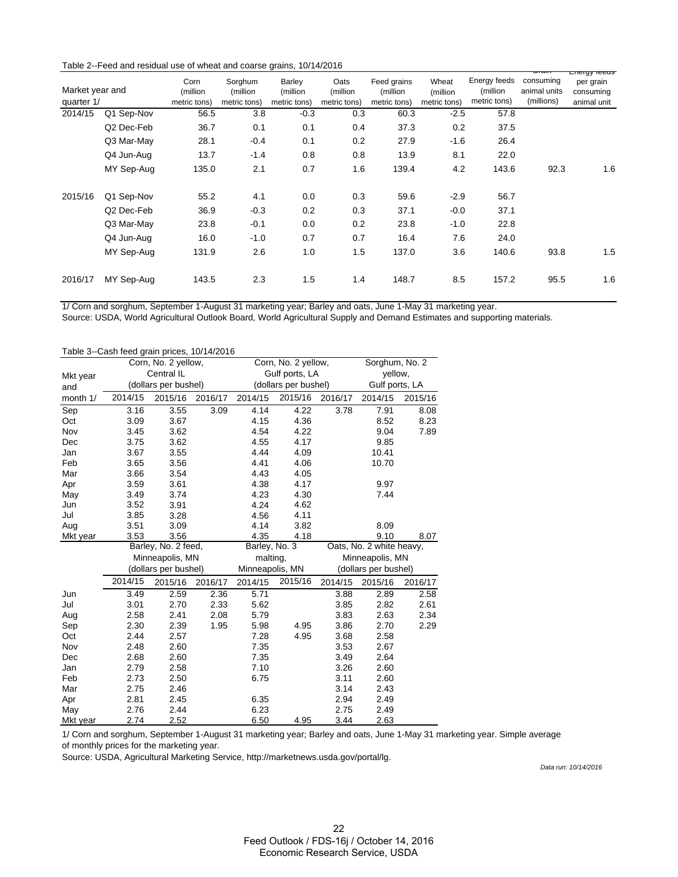| Table 2--Feed and residual use of wheat and coarse grains, 10/14/2016 |  |  |  |  |
|-----------------------------------------------------------------------|--|--|--|--|
|-----------------------------------------------------------------------|--|--|--|--|

|         | Market year and<br>quarter 1/ |       | Sorghum<br>(million<br>metric tons) | Barley<br>(million<br>metric tons) | Oats<br>(million<br>metric tons) | Feed grains<br>(million<br>metric tons) | Wheat<br>(million<br>metric tons) | Energy feeds<br>(million<br>metric tons) | consuming<br>animal units<br>(millions) | Liiciyy iccus<br>per grain<br>consuming<br>animal unit |
|---------|-------------------------------|-------|-------------------------------------|------------------------------------|----------------------------------|-----------------------------------------|-----------------------------------|------------------------------------------|-----------------------------------------|--------------------------------------------------------|
| 2014/15 | Q1 Sep-Nov                    | 56.5  | 3.8                                 | $-0.3$                             | 0.3                              | 60.3                                    | $-2.5$                            | 57.8                                     |                                         |                                                        |
|         | Q2 Dec-Feb                    | 36.7  | 0.1                                 | 0.1                                | 0.4                              | 37.3                                    | 0.2                               | 37.5                                     |                                         |                                                        |
|         | Q3 Mar-May                    | 28.1  | $-0.4$                              | 0.1                                | 0.2                              | 27.9                                    | $-1.6$                            | 26.4                                     |                                         |                                                        |
|         | Q4 Jun-Aug                    | 13.7  | $-1.4$                              | 0.8                                | 0.8                              | 13.9                                    | 8.1                               | 22.0                                     |                                         |                                                        |
|         | MY Sep-Aug                    | 135.0 | 2.1                                 | 0.7                                | 1.6                              | 139.4                                   | 4.2                               | 143.6                                    | 92.3                                    | 1.6                                                    |
| 2015/16 | Q1 Sep-Nov                    | 55.2  | 4.1                                 | 0.0                                | 0.3                              | 59.6                                    | $-2.9$                            | 56.7                                     |                                         |                                                        |
|         | Q2 Dec-Feb                    | 36.9  | $-0.3$                              | 0.2                                | 0.3                              | 37.1                                    | $-0.0$                            | 37.1                                     |                                         |                                                        |
|         | Q3 Mar-May                    | 23.8  | $-0.1$                              | 0.0                                | 0.2                              | 23.8                                    | $-1.0$                            | 22.8                                     |                                         |                                                        |
|         | Q4 Jun-Aug                    | 16.0  | $-1.0$                              | 0.7                                | 0.7                              | 16.4                                    | 7.6                               | 24.0                                     |                                         |                                                        |
|         | MY Sep-Aug                    | 131.9 | 2.6                                 | 1.0                                | 1.5                              | 137.0                                   | 3.6                               | 140.6                                    | 93.8                                    | 1.5                                                    |
| 2016/17 | MY Sep-Aug                    | 143.5 | 2.3                                 | 1.5                                | 1.4                              | 148.7                                   | 8.5                               | 157.2                                    | 95.5                                    | 1.6                                                    |

1/ Corn and sorghum, September 1-August 31 marketing year; Barley and oats, June 1-May 31 marketing year.

Source: USDA, World Agricultural Outlook Board, World Agricultural Supply and Demand Estimates and supporting materials.

| Table 3--Cash feed grain prices, 10/14/2016 |         |                      |         |                 |                      |                |                          |         |
|---------------------------------------------|---------|----------------------|---------|-----------------|----------------------|----------------|--------------------------|---------|
|                                             |         | Corn, No. 2 yellow,  |         |                 | Corn, No. 2 yellow,  |                | Sorghum, No. 2           |         |
| Mkt year                                    |         | Central IL           |         |                 | Gulf ports, LA       | yellow,        |                          |         |
| and                                         |         | (dollars per bushel) |         |                 | (dollars per bushel) | Gulf ports, LA |                          |         |
| month 1/                                    | 2014/15 | 2015/16              | 2016/17 | 2014/15         | 2015/16              | 2016/17        | 2014/15                  | 2015/16 |
| Sep                                         | 3.16    | 3.55                 | 3.09    | 4.14            | 4.22                 | 3.78           | 7.91                     | 8.08    |
| Oct                                         | 3.09    | 3.67                 |         | 4.15            | 4.36                 |                | 8.52                     | 8.23    |
| Nov                                         | 3.45    | 3.62                 |         | 4.54            | 4.22                 |                | 9.04                     | 7.89    |
| Dec                                         | 3.75    | 3.62                 |         | 4.55            | 4.17                 |                | 9.85                     |         |
| Jan                                         | 3.67    | 3.55                 |         | 4.44            | 4.09                 |                | 10.41                    |         |
| Feb                                         | 3.65    | 3.56                 |         | 4.41            | 4.06                 |                | 10.70                    |         |
| Mar                                         | 3.66    | 3.54                 |         | 4.43            | 4.05                 |                |                          |         |
| Apr                                         | 3.59    | 3.61                 |         | 4.38            | 4.17                 |                | 9.97                     |         |
| May                                         | 3.49    | 3.74                 |         | 4.23            | 4.30                 |                | 7.44                     |         |
| Jun                                         | 3.52    | 3.91                 |         | 4.24            | 4.62                 |                |                          |         |
| Jul                                         | 3.85    | 3.28                 |         | 4.56            | 4.11                 |                |                          |         |
| Aug                                         | 3.51    | 3.09                 |         | 4.14            | 3.82                 |                | 8.09                     |         |
| Mkt year                                    | 3.53    | 3.56                 |         | 4.35            | 4.18                 |                | 9.10                     | 8.07    |
|                                             |         | Barley, No. 2 feed,  |         | Barley, No. 3   |                      |                | Oats, No. 2 white heavy, |         |
|                                             |         | Minneapolis, MN      |         | malting,        |                      |                | Minneapolis, MN          |         |
|                                             |         | (dollars per bushel) |         | Minneapolis, MN |                      |                | (dollars per bushel)     |         |
|                                             | 2014/15 | 2015/16              | 2016/17 | 2014/15         | 2015/16              | 2014/15        | 2015/16                  | 2016/17 |
| Jun                                         | 3.49    | 2.59                 | 2.36    | 5.71            |                      | 3.88           | 2.89                     | 2.58    |
| Jul                                         | 3.01    | 2.70                 | 2.33    | 5.62            |                      | 3.85           | 2.82                     | 2.61    |
| Aug                                         | 2.58    | 2.41                 | 2.08    | 5.79            |                      | 3.83           | 2.63                     | 2.34    |
| Sep                                         | 2.30    | 2.39                 | 1.95    | 5.98            | 4.95                 | 3.86           | 2.70                     | 2.29    |
| Oct                                         | 2.44    | 2.57                 |         | 7.28            | 4.95                 | 3.68           | 2.58                     |         |
| Nov                                         | 2.48    | 2.60                 |         | 7.35            |                      | 3.53           | 2.67                     |         |
| Dec                                         | 2.68    | 2.60                 |         | 7.35            |                      | 3.49           | 2.64                     |         |
| Jan                                         | 2.79    | 2.58                 |         | 7.10            |                      | 3.26           | 2.60                     |         |
| Feb                                         | 2.73    | 2.50                 |         | 6.75            |                      | 3.11           | 2.60                     |         |
| Mar                                         | 2.75    | 2.46                 |         |                 |                      | 3.14           | 2.43                     |         |
| Apr                                         | 2.81    | 2.45                 |         | 6.35            |                      | 2.94           | 2.49                     |         |
| May                                         | 2.76    | 2.44                 |         | 6.23            |                      | 2.75           | 2.49                     |         |
| Mkt year                                    | 2.74    | 2.52                 |         | 6.50            | 4.95                 | 3.44           | 2.63                     |         |

1/ Corn and sorghum, September 1-August 31 marketing year; Barley and oats, June 1-May 31 marketing year. Simple average of monthly prices for the marketing year.

Source: USDA, Agricultural Marketing Service, http://marketnews.usda.gov/portal/lg.

*Data run: 10/14/2016*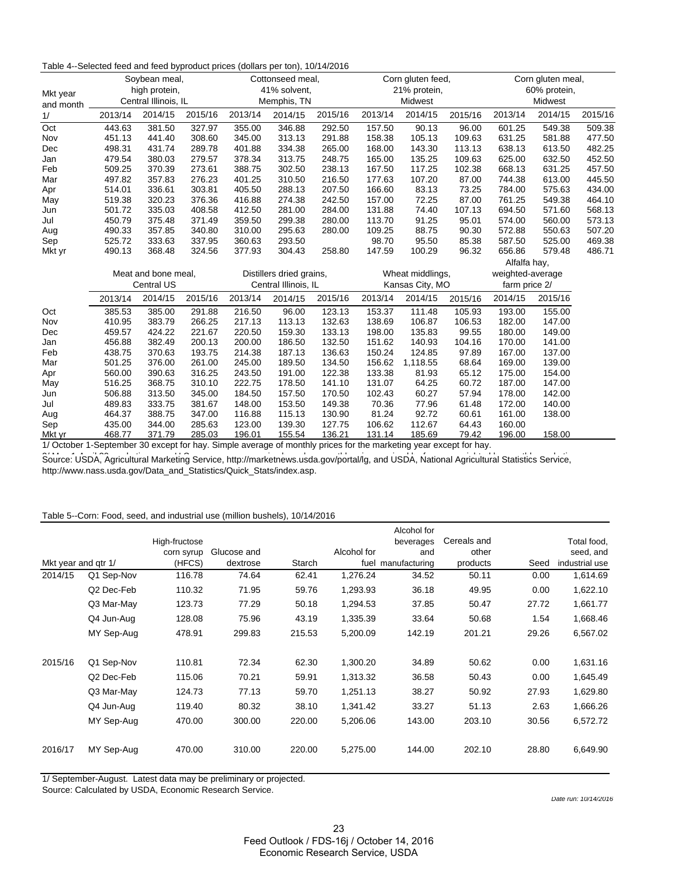#### Table 4--Selected feed and feed byproduct prices (dollars per ton), 10/14/2016

| Mkt year<br>and month |                     | Soybean meal,<br>high protein,<br>Central Illinois, IL |                          | Cottonseed meal,<br>41% solvent,<br>Memphis, TN |         |                 | Corn gluten feed,<br>21% protein,<br>Midwest |          |                  | Corn gluten meal,<br>60% protein,<br>Midwest |         |         |
|-----------------------|---------------------|--------------------------------------------------------|--------------------------|-------------------------------------------------|---------|-----------------|----------------------------------------------|----------|------------------|----------------------------------------------|---------|---------|
| 1/                    | 2013/14             | 2014/15                                                | 2015/16                  | 2013/14                                         | 2014/15 | 2015/16         | 2013/14                                      | 2014/15  | 2015/16          | 2013/14                                      | 2014/15 | 2015/16 |
| Oct                   | 443.63              | 381.50                                                 | 327.97                   | 355.00                                          | 346.88  | 292.50          | 157.50                                       | 90.13    | 96.00            | 601.25                                       | 549.38  | 509.38  |
| Nov                   | 451.13              | 441.40                                                 | 308.60                   | 345.00                                          | 313.13  | 291.88          | 158.38                                       | 105.13   | 109.63           | 631.25                                       | 581.88  | 477.50  |
| Dec                   | 498.31              | 431.74                                                 | 289.78                   | 401.88                                          | 334.38  | 265.00          | 168.00                                       | 143.30   | 113.13           | 638.13                                       | 613.50  | 482.25  |
| Jan                   | 479.54              | 380.03                                                 | 279.57                   | 378.34                                          | 313.75  | 248.75          | 165.00                                       | 135.25   | 109.63           | 625.00                                       | 632.50  | 452.50  |
| Feb                   | 509.25              | 370.39                                                 | 273.61                   | 388.75                                          | 302.50  | 238.13          | 167.50                                       | 117.25   | 102.38           | 668.13                                       | 631.25  | 457.50  |
| Mar                   | 497.82              | 357.83                                                 | 276.23                   | 401.25                                          | 310.50  | 216.50          | 177.63                                       | 107.20   | 87.00            | 744.38                                       | 613.00  | 445.50  |
| Apr                   | 514.01              | 336.61                                                 | 303.81                   | 405.50                                          | 288.13  | 207.50          | 166.60                                       | 83.13    | 73.25            | 784.00                                       | 575.63  | 434.00  |
| May                   | 519.38              | 320.23                                                 | 376.36                   | 416.88                                          | 274.38  | 242.50          | 157.00                                       | 72.25    | 87.00            | 761.25                                       | 549.38  | 464.10  |
| Jun                   | 501.72              | 335.03                                                 | 408.58                   | 412.50                                          | 281.00  | 284.00          | 131.88                                       | 74.40    | 107.13           | 694.50                                       | 571.60  | 568.13  |
| Jul                   | 450.79              | 375.48                                                 | 371.49                   | 359.50                                          | 299.38  | 280.00          | 113.70                                       | 91.25    | 95.01            | 574.00                                       | 560.00  | 573.13  |
| Aug                   | 490.33              | 357.85                                                 | 340.80                   | 310.00                                          | 295.63  | 280.00          | 109.25                                       | 88.75    | 90.30            | 572.88                                       | 550.63  | 507.20  |
| Sep                   | 525.72              | 333.63                                                 | 337.95                   | 360.63                                          | 293.50  |                 | 98.70                                        | 95.50    | 85.38            | 587.50                                       | 525.00  | 469.38  |
| Mkt yr                | 490.13              | 368.48                                                 | 324.56                   | 377.93                                          | 304.43  | 258.80          | 147.59                                       | 100.29   | 96.32            | 656.86                                       | 579.48  | 486.71  |
|                       |                     |                                                        |                          |                                                 |         |                 |                                              |          | Alfalfa hay,     |                                              |         |         |
|                       | Meat and bone meal, |                                                        | Distillers dried grains, |                                                 |         |                 | Wheat middlings,                             |          | weighted-average |                                              |         |         |
|                       | <b>Central US</b>   |                                                        | Central Illinois, IL     |                                                 |         | Kansas City, MO |                                              |          | farm price 2/    |                                              |         |         |
|                       | 2013/14             | 2014/15                                                | 2015/16                  | 2013/14                                         | 2014/15 | 2015/16         | 2013/14                                      | 2014/15  | 2015/16          | 2014/15                                      | 2015/16 |         |
| Oct                   | 385.53              | 385.00                                                 | 291.88                   | 216.50                                          | 96.00   | 123.13          | 153.37                                       | 111.48   | 105.93           | 193.00                                       | 155.00  |         |
| Nov                   | 410.95              | 383.79                                                 | 266.25                   | 217.13                                          | 113.13  | 132.63          | 138.69                                       | 106.87   | 106.53           | 182.00                                       | 147.00  |         |
| Dec                   | 459.57              | 424.22                                                 | 221.67                   | 220.50                                          | 159.30  | 133.13          | 198.00                                       | 135.83   | 99.55            | 180.00                                       | 149.00  |         |
| Jan                   | 456.88              | 382.49                                                 | 200.13                   | 200.00                                          | 186.50  | 132.50          | 151.62                                       | 140.93   | 104.16           | 170.00                                       | 141.00  |         |
| Feb                   | 438.75              | 370.63                                                 | 193.75                   | 214.38                                          | 187.13  | 136.63          | 150.24                                       | 124.85   | 97.89            | 167.00                                       | 137.00  |         |
| Mar                   | 501.25              | 376.00                                                 | 261.00                   | 245.00                                          | 189.50  | 134.50          | 156.62                                       | 1,118.55 | 68.64            | 169.00                                       | 139.00  |         |
| Apr                   | 560.00              | 390.63                                                 | 316.25                   | 243.50                                          | 191.00  | 122.38          | 133.38                                       | 81.93    | 65.12            | 175.00                                       | 154.00  |         |
| May                   | 516.25              | 368.75                                                 | 310.10                   | 222.75                                          | 178.50  | 141.10          | 131.07                                       | 64.25    | 60.72            | 187.00                                       | 147.00  |         |
| Jun                   | 506.88              | 313.50                                                 | 345.00                   | 184.50                                          | 157.50  | 170.50          | 102.43                                       | 60.27    | 57.94            | 178.00                                       | 142.00  |         |
| Jul                   | 489.83              | 333.75                                                 | 381.67                   | 148.00                                          | 153.50  | 149.38          | 70.36                                        | 77.96    | 61.48            | 172.00                                       | 140.00  |         |
| Aug                   | 464.37              | 388.75                                                 | 347.00                   | 116.88                                          | 115.13  | 130.90          | 81.24                                        | 92.72    | 60.61            | 161.00                                       | 138.00  |         |
| Sep                   | 435.00              | 344.00                                                 | 285.63                   | 123.00                                          | 139.30  | 127.75          | 106.62                                       | 112.67   | 64.43            | 160.00                                       |         |         |
| Mkt yr                | 468.77              | 371.79                                                 | 285.03                   | 196.01                                          | 155.54  | 136.21          | 131.14                                       | 185.69   | 79.42            | 196.00                                       | 158.00  |         |

1/ October 1-September 30 except for hay. Simple average of monthly prices for the marketing year except for hay.

Source: USDA, Agricultural Marketing Service, http://marketnews.usda.gov/portal/lg, and USDA, National Agricultural Statistics Service, http://www.nass.usda.gov/Data\_and\_Statistics/Quick\_Stats/index.asp.

#### Table 5--Corn: Food, seed, and industrial use (million bushels), 10/14/2016

|                     |                        |               |             |        |             | Alcohol for        |             |       |                |
|---------------------|------------------------|---------------|-------------|--------|-------------|--------------------|-------------|-------|----------------|
|                     |                        | High-fructose |             |        |             | beverages          | Cereals and |       | Total food,    |
|                     |                        | corn syrup    | Glucose and |        | Alcohol for | and                | other       |       | seed, and      |
| Mkt year and gtr 1/ |                        | (HFCS)        | dextrose    | Starch |             | fuel manufacturing | products    | Seed  | industrial use |
| 2014/15             | Q1 Sep-Nov             | 116.78        | 74.64       | 62.41  | 1,276.24    | 34.52              | 50.11       | 0.00  | 1,614.69       |
|                     | Q <sub>2</sub> Dec-Feb | 110.32        | 71.95       | 59.76  | 1,293.93    | 36.18              | 49.95       | 0.00  | 1,622.10       |
|                     | Q3 Mar-May             | 123.73        | 77.29       | 50.18  | 1,294.53    | 37.85              | 50.47       | 27.72 | 1,661.77       |
|                     | Q4 Jun-Aug             | 128.08        | 75.96       | 43.19  | 1,335.39    | 33.64              | 50.68       | 1.54  | 1,668.46       |
|                     | MY Sep-Aug             | 478.91        | 299.83      | 215.53 | 5,200.09    | 142.19             | 201.21      | 29.26 | 6,567.02       |
| 2015/16             | Q1 Sep-Nov             | 110.81        | 72.34       | 62.30  | 1,300.20    | 34.89              | 50.62       | 0.00  | 1,631.16       |
|                     | Q2 Dec-Feb             | 115.06        | 70.21       | 59.91  | 1,313.32    | 36.58              | 50.43       | 0.00  | 1,645.49       |
|                     | Q3 Mar-May             | 124.73        | 77.13       | 59.70  | 1,251.13    | 38.27              | 50.92       | 27.93 | 1,629.80       |
|                     | Q4 Jun-Aug             | 119.40        | 80.32       | 38.10  | 1,341.42    | 33.27              | 51.13       | 2.63  | 1,666.26       |
|                     | MY Sep-Aug             | 470.00        | 300.00      | 220.00 | 5,206.06    | 143.00             | 203.10      | 30.56 | 6,572.72       |
| 2016/17             | MY Sep-Aug             | 470.00        | 310.00      | 220.00 | 5,275.00    | 144.00             | 202.10      | 28.80 | 6,649.90       |

1/ September-August. Latest data may be preliminary or projected.

Source: Calculated by USDA, Economic Research Service.

*Date run: 10/14/2016*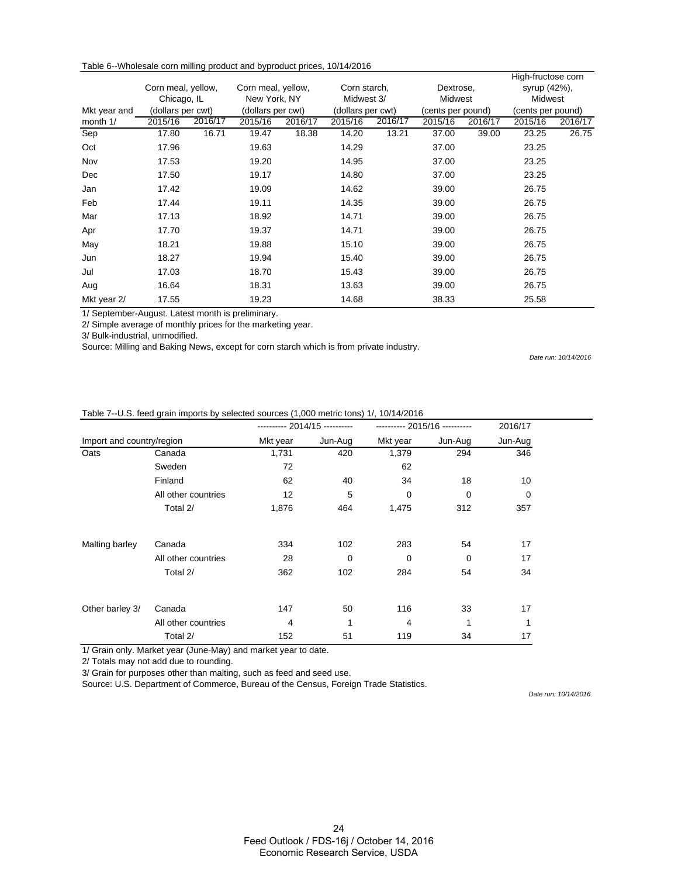| Table 6--Wholesale corn milling product and byproduct prices, 10/14/2016 |  |  |  |
|--------------------------------------------------------------------------|--|--|--|
|--------------------------------------------------------------------------|--|--|--|

| Corn meal, yellow,<br>Chicago, IL<br>(dollars per cwt)<br>Mkt year and |         | Corn meal, yellow,<br>New York, NY<br>(dollars per cwt) |         | Corn starch,<br>Midwest 3/<br>(dollars per cwt) |         | Dextrose,<br>Midwest<br>(cents per pound) |         | High-fructose corn<br>syrup (42%),<br><b>Midwest</b><br>(cents per pound) |         |         |
|------------------------------------------------------------------------|---------|---------------------------------------------------------|---------|-------------------------------------------------|---------|-------------------------------------------|---------|---------------------------------------------------------------------------|---------|---------|
| month 1/                                                               | 2015/16 | 2016/17                                                 | 2015/16 | 2016/17                                         | 2015/16 | 2016/17                                   | 2015/16 | 2016/17                                                                   | 2015/16 | 2016/17 |
| Sep                                                                    | 17.80   | 16.71                                                   | 19.47   | 18.38                                           | 14.20   | 13.21                                     | 37.00   | 39.00                                                                     | 23.25   | 26.75   |
| Oct                                                                    | 17.96   |                                                         | 19.63   |                                                 | 14.29   |                                           | 37.00   |                                                                           | 23.25   |         |
| Nov                                                                    | 17.53   |                                                         | 19.20   |                                                 | 14.95   |                                           | 37.00   |                                                                           | 23.25   |         |
| Dec                                                                    | 17.50   |                                                         | 19.17   |                                                 | 14.80   |                                           | 37.00   |                                                                           | 23.25   |         |
| Jan                                                                    | 17.42   |                                                         | 19.09   |                                                 | 14.62   |                                           | 39.00   |                                                                           | 26.75   |         |
| Feb                                                                    | 17.44   |                                                         | 19.11   |                                                 | 14.35   |                                           | 39.00   |                                                                           | 26.75   |         |
| Mar                                                                    | 17.13   |                                                         | 18.92   |                                                 | 14.71   |                                           | 39.00   |                                                                           | 26.75   |         |
| Apr                                                                    | 17.70   |                                                         | 19.37   |                                                 | 14.71   |                                           | 39.00   |                                                                           | 26.75   |         |
| May                                                                    | 18.21   |                                                         | 19.88   |                                                 | 15.10   |                                           | 39.00   |                                                                           | 26.75   |         |
| Jun                                                                    | 18.27   |                                                         | 19.94   |                                                 | 15.40   |                                           | 39.00   |                                                                           | 26.75   |         |
| Jul                                                                    | 17.03   |                                                         | 18.70   |                                                 | 15.43   |                                           | 39.00   |                                                                           | 26.75   |         |
| Aug                                                                    | 16.64   |                                                         | 18.31   |                                                 | 13.63   |                                           | 39.00   |                                                                           | 26.75   |         |
| Mkt year 2/<br>$\cdot$ $\sim$ $\cdot$                                  | 17.55   | $\cdots$                                                | 19.23   |                                                 | 14.68   |                                           | 38.33   |                                                                           | 25.58   |         |

1/ September-August. Latest month is preliminary.

2/ Simple average of monthly prices for the marketing year.

3/ Bulk-industrial, unmodified.

Source: Milling and Baking News, except for corn starch which is from private industry.

*Date run: 10/14/2016*

#### Table 7--U.S. feed grain imports by selected sources (1,000 metric tons) 1/, 10/14/2016

|                           |                     | ---------- 2014/15 ---------- |         | ---------- 2015/16 ---------- | 2016/17     |             |
|---------------------------|---------------------|-------------------------------|---------|-------------------------------|-------------|-------------|
| Import and country/region |                     | Mkt year                      | Jun-Aug | Mkt year                      | Jun-Aug     | Jun-Aug     |
| Oats                      | Canada              | 1,731                         | 420     | 1,379                         | 294         | 346         |
|                           | Sweden              | 72                            |         | 62                            |             |             |
|                           | Finland             | 62                            | 40      | 34                            | 18          | 10          |
|                           | All other countries | 12                            | 5       | $\mathbf 0$                   | 0           | $\mathbf 0$ |
|                           | Total 2/            | 1,876                         | 464     | 1,475                         | 312         | 357         |
| Malting barley            | Canada              | 334                           | 102     | 283                           | 54          | 17          |
|                           | All other countries | 28                            | 0       | 0                             | $\mathbf 0$ | 17          |
|                           | Total 2/            | 362                           | 102     | 284                           | 54          | 34          |
| Other barley 3/           | Canada              | 147                           | 50      | 116                           | 33          | 17          |
|                           | All other countries | 4                             | 1       | 4                             | 1           | 1           |
|                           | Total 2/            | 152                           | 51      | 119                           | 34          | 17          |

1/ Grain only. Market year (June-May) and market year to date.

2/ Totals may not add due to rounding.

3/ Grain for purposes other than malting, such as feed and seed use.

Source: U.S. Department of Commerce, Bureau of the Census, Foreign Trade Statistics.

*Date run: 10/14/2016*